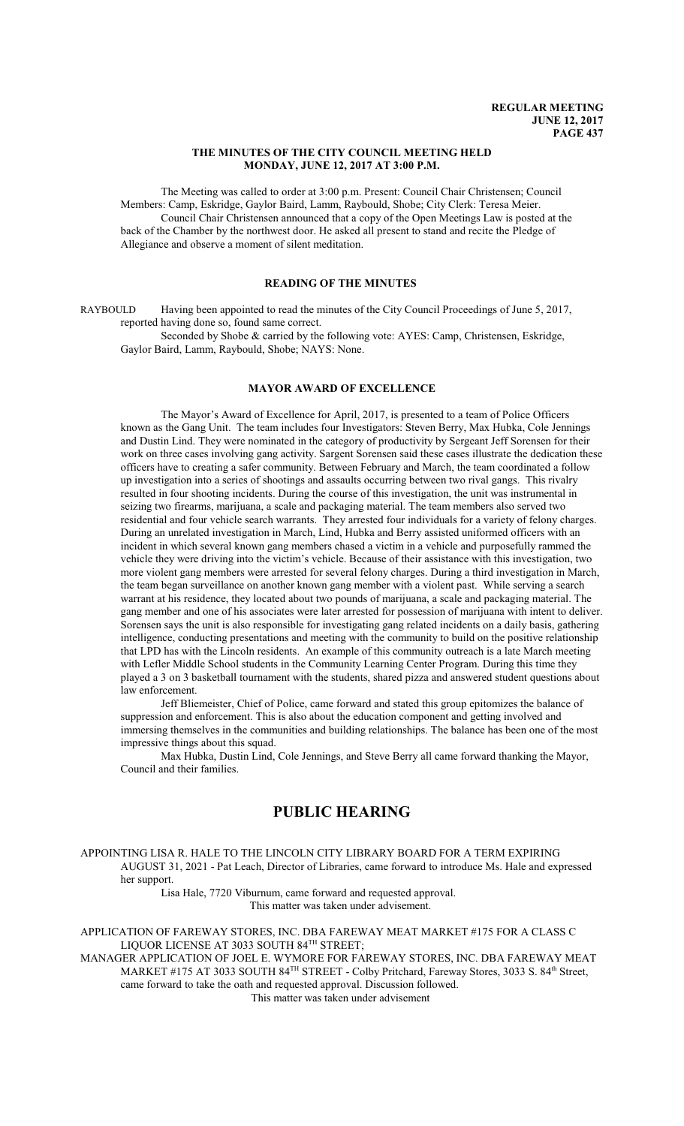#### **THE MINUTES OF THE CITY COUNCIL MEETING HELD MONDAY, JUNE 12, 2017 AT 3:00 P.M.**

The Meeting was called to order at 3:00 p.m. Present: Council Chair Christensen; Council Members: Camp, Eskridge, Gaylor Baird, Lamm, Raybould, Shobe; City Clerk: Teresa Meier. Council Chair Christensen announced that a copy of the Open Meetings Law is posted at the back of the Chamber by the northwest door. He asked all present to stand and recite the Pledge of Allegiance and observe a moment of silent meditation.

# **READING OF THE MINUTES**

RAYBOULD Having been appointed to read the minutes of the City Council Proceedings of June 5, 2017, reported having done so, found same correct.

Seconded by Shobe & carried by the following vote: AYES: Camp, Christensen, Eskridge, Gaylor Baird, Lamm, Raybould, Shobe; NAYS: None.

# **MAYOR AWARD OF EXCELLENCE**

The Mayor's Award of Excellence for April, 2017, is presented to a team of Police Officers known as the Gang Unit. The team includes four Investigators: Steven Berry, Max Hubka, Cole Jennings and Dustin Lind. They were nominated in the category of productivity by Sergeant Jeff Sorensen for their work on three cases involving gang activity. Sargent Sorensen said these cases illustrate the dedication these officers have to creating a safer community. Between February and March, the team coordinated a follow up investigation into a series of shootings and assaults occurring between two rival gangs. This rivalry resulted in four shooting incidents. During the course of this investigation, the unit was instrumental in seizing two firearms, marijuana, a scale and packaging material. The team members also served two residential and four vehicle search warrants. They arrested four individuals for a variety of felony charges. During an unrelated investigation in March, Lind, Hubka and Berry assisted uniformed officers with an incident in which several known gang members chased a victim in a vehicle and purposefully rammed the vehicle they were driving into the victim's vehicle. Because of their assistance with this investigation, two more violent gang members were arrested for several felony charges. During a third investigation in March, the team began surveillance on another known gang member with a violent past. While serving a search warrant at his residence, they located about two pounds of marijuana, a scale and packaging material. The gang member and one of his associates were later arrested for possession of marijuana with intent to deliver. Sorensen says the unit is also responsible for investigating gang related incidents on a daily basis, gathering intelligence, conducting presentations and meeting with the community to build on the positive relationship that LPD has with the Lincoln residents. An example of this community outreach is a late March meeting with Lefler Middle School students in the Community Learning Center Program. During this time they played a 3 on 3 basketball tournament with the students, shared pizza and answered student questions about law enforcement.

Jeff Bliemeister, Chief of Police, came forward and stated this group epitomizes the balance of suppression and enforcement. This is also about the education component and getting involved and immersing themselves in the communities and building relationships. The balance has been one of the most impressive things about this squad.

Max Hubka, Dustin Lind, Cole Jennings, and Steve Berry all came forward thanking the Mayor, Council and their families.

# **PUBLIC HEARING**

APPOINTING LISA R. HALE TO THE LINCOLN CITY LIBRARY BOARD FOR A TERM EXPIRING AUGUST 31, 2021 - Pat Leach, Director of Libraries, came forward to introduce Ms. Hale and expressed her support.

Lisa Hale, 7720 Viburnum, came forward and requested approval. This matter was taken under advisement.

APPLICATION OF FAREWAY STORES, INC. DBA FAREWAY MEAT MARKET #175 FOR A CLASS C LIQUOR LICENSE AT 3033 SOUTH 84 TH STREET;

MANAGER APPLICATION OF JOEL E. WYMORE FOR FAREWAY STORES, INC. DBA FAREWAY MEAT MARKET #175 AT 3033 SOUTH 84<sup>TH</sup> STREET - Colby Pritchard, Fareway Stores, 3033 S. 84<sup>th</sup> Street, came forward to take the oath and requested approval. Discussion followed.

This matter was taken under advisement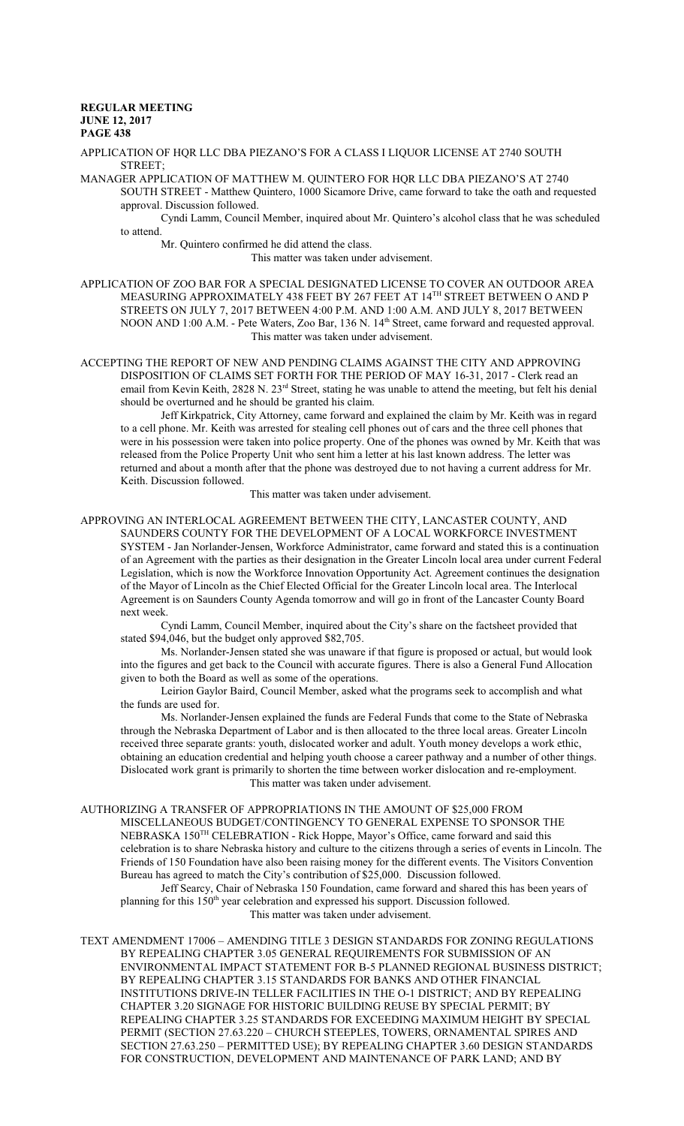APPLICATION OF HQR LLC DBA PIEZANO'S FOR A CLASS I LIQUOR LICENSE AT 2740 SOUTH STREET;

MANAGER APPLICATION OF MATTHEW M. QUINTERO FOR HQR LLC DBA PIEZANO'S AT 2740 SOUTH STREET - Matthew Quintero, 1000 Sicamore Drive, came forward to take the oath and requested approval. Discussion followed.

Cyndi Lamm, Council Member, inquired about Mr. Quintero's alcohol class that he was scheduled to attend.

Mr. Quintero confirmed he did attend the class.

This matter was taken under advisement.

APPLICATION OF ZOO BAR FOR A SPECIAL DESIGNATED LICENSE TO COVER AN OUTDOOR AREA MEASURING APPROXIMATELY 438 FEET BY 267 FEET AT 14 TH STREET BETWEEN O AND P STREETS ON JULY 7, 2017 BETWEEN 4:00 P.M. AND 1:00 A.M. AND JULY 8, 2017 BETWEEN NOON AND 1:00 A.M. - Pete Waters, Zoo Bar, 136 N. 14<sup>th</sup> Street, came forward and requested approval. This matter was taken under advisement.

ACCEPTING THE REPORT OF NEW AND PENDING CLAIMS AGAINST THE CITY AND APPROVING DISPOSITION OF CLAIMS SET FORTH FOR THE PERIOD OF MAY 16-31, 2017 - Clerk read an email from Kevin Keith, 2828 N. 23<sup>rd</sup> Street, stating he was unable to attend the meeting, but felt his denial should be overturned and he should be granted his claim.

Jeff Kirkpatrick, City Attorney, came forward and explained the claim by Mr. Keith was in regard to a cell phone. Mr. Keith was arrested for stealing cell phones out of cars and the three cell phones that were in his possession were taken into police property. One of the phones was owned by Mr. Keith that was released from the Police Property Unit who sent him a letter at his last known address. The letter was returned and about a month after that the phone was destroyed due to not having a current address for Mr. Keith. Discussion followed.

This matter was taken under advisement.

APPROVING AN INTERLOCAL AGREEMENT BETWEEN THE CITY, LANCASTER COUNTY, AND SAUNDERS COUNTY FOR THE DEVELOPMENT OF A LOCAL WORKFORCE INVESTMENT SYSTEM - Jan Norlander-Jensen, Workforce Administrator, came forward and stated this is a continuation of an Agreement with the parties as their designation in the Greater Lincoln local area under current Federal Legislation, which is now the Workforce Innovation Opportunity Act. Agreement continues the designation of the Mayor of Lincoln as the Chief Elected Official for the Greater Lincoln local area. The Interlocal Agreement is on Saunders County Agenda tomorrow and will go in front of the Lancaster County Board next week.

Cyndi Lamm, Council Member, inquired about the City's share on the factsheet provided that stated \$94,046, but the budget only approved \$82,705.

Ms. Norlander-Jensen stated she was unaware if that figure is proposed or actual, but would look into the figures and get back to the Council with accurate figures. There is also a General Fund Allocation given to both the Board as well as some of the operations.

Leirion Gaylor Baird, Council Member, asked what the programs seek to accomplish and what the funds are used for.

Ms. Norlander-Jensen explained the funds are Federal Funds that come to the State of Nebraska through the Nebraska Department of Labor and is then allocated to the three local areas. Greater Lincoln received three separate grants: youth, dislocated worker and adult. Youth money develops a work ethic, obtaining an education credential and helping youth choose a career pathway and a number of other things. Dislocated work grant is primarily to shorten the time between worker dislocation and re-employment. This matter was taken under advisement.

AUTHORIZING A TRANSFER OF APPROPRIATIONS IN THE AMOUNT OF \$25,000 FROM MISCELLANEOUS BUDGET/CONTINGENCY TO GENERAL EXPENSE TO SPONSOR THE NEBRASKA 150<sup>TH</sup> CELEBRATION - Rick Hoppe, Mayor's Office, came forward and said this celebration is to share Nebraska history and culture to the citizens through a series of events in Lincoln. The Friends of 150 Foundation have also been raising money for the different events. The Visitors Convention Bureau has agreed to match the City's contribution of \$25,000. Discussion followed.

Jeff Searcy, Chair of Nebraska 150 Foundation, came forward and shared this has been years of planning for this 150<sup>th</sup> year celebration and expressed his support. Discussion followed. This matter was taken under advisement.

TEXT AMENDMENT 17006 – AMENDING TITLE 3 DESIGN STANDARDS FOR ZONING REGULATIONS BY REPEALING CHAPTER 3.05 GENERAL REQUIREMENTS FOR SUBMISSION OF AN ENVIRONMENTAL IMPACT STATEMENT FOR B-5 PLANNED REGIONAL BUSINESS DISTRICT; BY REPEALING CHAPTER 3.15 STANDARDS FOR BANKS AND OTHER FINANCIAL INSTITUTIONS DRIVE-IN TELLER FACILITIES IN THE O-1 DISTRICT; AND BY REPEALING CHAPTER 3.20 SIGNAGE FOR HISTORIC BUILDING REUSE BY SPECIAL PERMIT; BY REPEALING CHAPTER 3.25 STANDARDS FOR EXCEEDING MAXIMUM HEIGHT BY SPECIAL PERMIT (SECTION 27.63.220 – CHURCH STEEPLES, TOWERS, ORNAMENTAL SPIRES AND SECTION 27.63.250 – PERMITTED USE); BY REPEALING CHAPTER 3.60 DESIGN STANDARDS FOR CONSTRUCTION, DEVELOPMENT AND MAINTENANCE OF PARK LAND; AND BY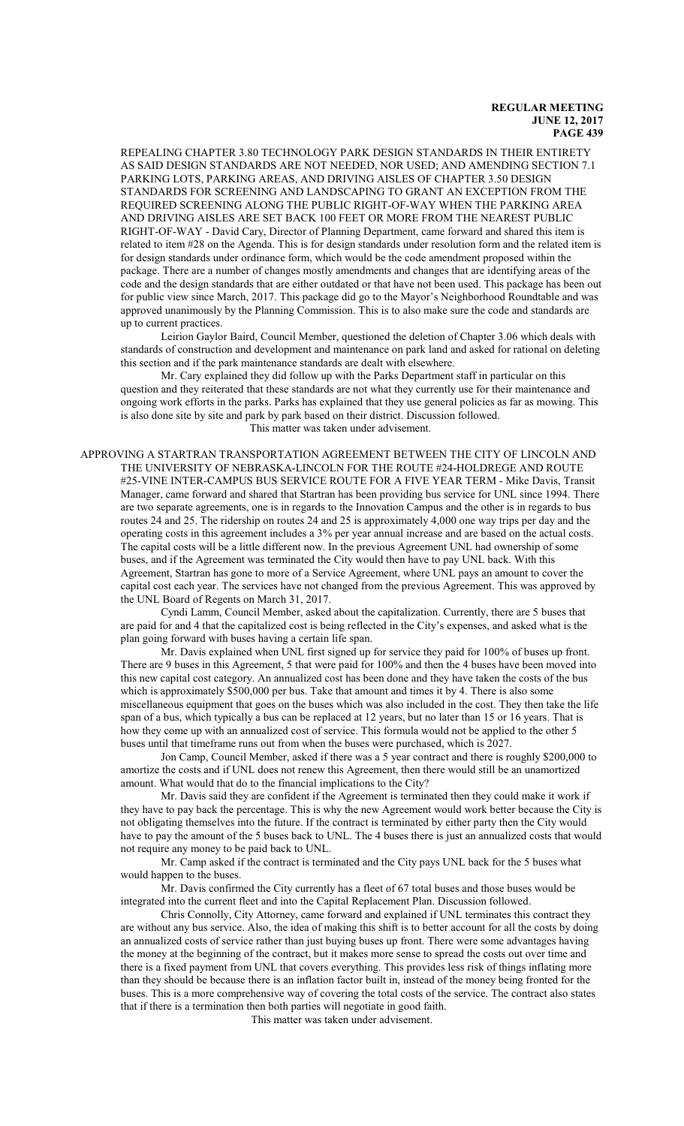REPEALING CHAPTER 3.80 TECHNOLOGY PARK DESIGN STANDARDS IN THEIR ENTIRETY AS SAID DESIGN STANDARDS ARE NOT NEEDED, NOR USED; AND AMENDING SECTION 7.1 PARKING LOTS, PARKING AREAS, AND DRIVING AISLES OF CHAPTER 3.50 DESIGN STANDARDS FOR SCREENING AND LANDSCAPING TO GRANT AN EXCEPTION FROM THE REQUIRED SCREENING ALONG THE PUBLIC RIGHT-OF-WAY WHEN THE PARKING AREA AND DRIVING AISLES ARE SET BACK 100 FEET OR MORE FROM THE NEAREST PUBLIC RIGHT-OF-WAY - David Cary, Director of Planning Department, came forward and shared this item is related to item #28 on the Agenda. This is for design standards under resolution form and the related item is for design standards under ordinance form, which would be the code amendment proposed within the package. There are a number of changes mostly amendments and changes that are identifying areas of the code and the design standards that are either outdated or that have not been used. This package has been out for public view since March, 2017. This package did go to the Mayor's Neighborhood Roundtable and was approved unanimously by the Planning Commission. This is to also make sure the code and standards are up to current practices.

Leirion Gaylor Baird, Council Member, questioned the deletion of Chapter 3.06 which deals with standards of construction and development and maintenance on park land and asked for rational on deleting this section and if the park maintenance standards are dealt with elsewhere.

Mr. Cary explained they did follow up with the Parks Department staff in particular on this question and they reiterated that these standards are not what they currently use for their maintenance and ongoing work efforts in the parks. Parks has explained that they use general policies as far as mowing. This is also done site by site and park by park based on their district. Discussion followed.

This matter was taken under advisement.

APPROVING A STARTRAN TRANSPORTATION AGREEMENT BETWEEN THE CITY OF LINCOLN AND THE UNIVERSITY OF NEBRASKA-LINCOLN FOR THE ROUTE #24-HOLDREGE AND ROUTE #25-VINE INTER-CAMPUS BUS SERVICE ROUTE FOR A FIVE YEAR TERM - Mike Davis, Transit Manager, came forward and shared that Startran has been providing bus service for UNL since 1994. There are two separate agreements, one is in regards to the Innovation Campus and the other is in regards to bus routes 24 and 25. The ridership on routes 24 and 25 is approximately 4,000 one way trips per day and the operating costs in this agreement includes a 3% per year annual increase and are based on the actual costs. The capital costs will be a little different now. In the previous Agreement UNL had ownership of some buses, and if the Agreement was terminated the City would then have to pay UNL back. With this Agreement, Startran has gone to more of a Service Agreement, where UNL pays an amount to cover the capital cost each year. The services have not changed from the previous Agreement. This was approved by the UNL Board of Regents on March 31, 2017.

Cyndi Lamm, Council Member, asked about the capitalization. Currently, there are 5 buses that are paid for and 4 that the capitalized cost is being reflected in the City's expenses, and asked what is the plan going forward with buses having a certain life span.

Mr. Davis explained when UNL first signed up for service they paid for 100% of buses up front. There are 9 buses in this Agreement, 5 that were paid for 100% and then the 4 buses have been moved into this new capital cost category. An annualized cost has been done and they have taken the costs of the bus which is approximately \$500,000 per bus. Take that amount and times it by 4. There is also some miscellaneous equipment that goes on the buses which was also included in the cost. They then take the life span of a bus, which typically a bus can be replaced at 12 years, but no later than 15 or 16 years. That is how they come up with an annualized cost of service. This formula would not be applied to the other 5 buses until that timeframe runs out from when the buses were purchased, which is 2027.

Jon Camp, Council Member, asked if there was a 5 year contract and there is roughly \$200,000 to amortize the costs and if UNL does not renew this Agreement, then there would still be an unamortized amount. What would that do to the financial implications to the City?

Mr. Davis said they are confident if the Agreement is terminated then they could make it work if they have to pay back the percentage. This is why the new Agreement would work better because the City is not obligating themselves into the future. If the contract is terminated by either party then the City would have to pay the amount of the 5 buses back to UNL. The 4 buses there is just an annualized costs that would not require any money to be paid back to UNL.

Mr. Camp asked if the contract is terminated and the City pays UNL back for the 5 buses what would happen to the buses.

Mr. Davis confirmed the City currently has a fleet of 67 total buses and those buses would be integrated into the current fleet and into the Capital Replacement Plan. Discussion followed.

Chris Connolly, City Attorney, came forward and explained if UNL terminates this contract they are without any bus service. Also, the idea of making this shift is to better account for all the costs by doing an annualized costs of service rather than just buying buses up front. There were some advantages having the money at the beginning of the contract, but it makes more sense to spread the costs out over time and there is a fixed payment from UNL that covers everything. This provides less risk of things inflating more than they should be because there is an inflation factor built in, instead of the money being fronted for the buses. This is a more comprehensive way of covering the total costs of the service. The contract also states that if there is a termination then both parties will negotiate in good faith.

This matter was taken under advisement.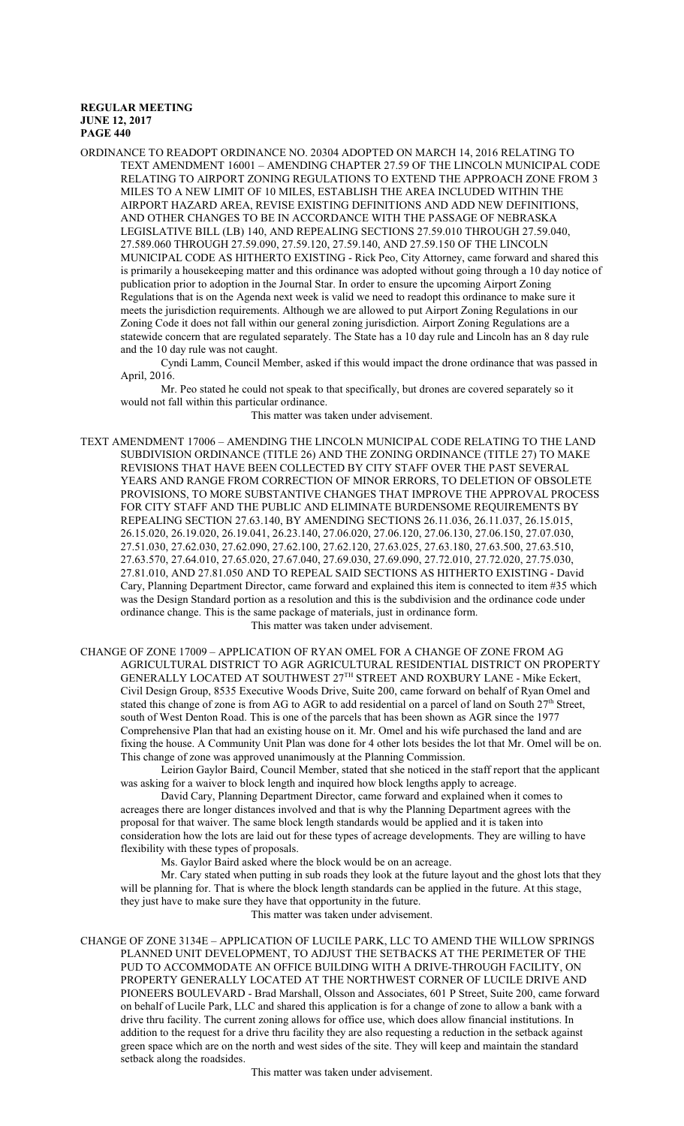ORDINANCE TO READOPT ORDINANCE NO. 20304 ADOPTED ON MARCH 14, 2016 RELATING TO TEXT AMENDMENT 16001 – AMENDING CHAPTER 27.59 OF THE LINCOLN MUNICIPAL CODE RELATING TO AIRPORT ZONING REGULATIONS TO EXTEND THE APPROACH ZONE FROM 3 MILES TO A NEW LIMIT OF 10 MILES, ESTABLISH THE AREA INCLUDED WITHIN THE AIRPORT HAZARD AREA, REVISE EXISTING DEFINITIONS AND ADD NEW DEFINITIONS, AND OTHER CHANGES TO BE IN ACCORDANCE WITH THE PASSAGE OF NEBRASKA LEGISLATIVE BILL (LB) 140, AND REPEALING SECTIONS 27.59.010 THROUGH 27.59.040, 27.589.060 THROUGH 27.59.090, 27.59.120, 27.59.140, AND 27.59.150 OF THE LINCOLN MUNICIPAL CODE AS HITHERTO EXISTING - Rick Peo, City Attorney, came forward and shared this is primarily a housekeeping matter and this ordinance was adopted without going through a 10 day notice of publication prior to adoption in the Journal Star. In order to ensure the upcoming Airport Zoning Regulations that is on the Agenda next week is valid we need to readopt this ordinance to make sure it meets the jurisdiction requirements. Although we are allowed to put Airport Zoning Regulations in our Zoning Code it does not fall within our general zoning jurisdiction. Airport Zoning Regulations are a statewide concern that are regulated separately. The State has a 10 day rule and Lincoln has an 8 day rule and the 10 day rule was not caught.

Cyndi Lamm, Council Member, asked if this would impact the drone ordinance that was passed in April, 2016.

Mr. Peo stated he could not speak to that specifically, but drones are covered separately so it would not fall within this particular ordinance.

This matter was taken under advisement.

TEXT AMENDMENT 17006 – AMENDING THE LINCOLN MUNICIPAL CODE RELATING TO THE LAND SUBDIVISION ORDINANCE (TITLE 26) AND THE ZONING ORDINANCE (TITLE 27) TO MAKE REVISIONS THAT HAVE BEEN COLLECTED BY CITY STAFF OVER THE PAST SEVERAL YEARS AND RANGE FROM CORRECTION OF MINOR ERRORS, TO DELETION OF OBSOLETE PROVISIONS, TO MORE SUBSTANTIVE CHANGES THAT IMPROVE THE APPROVAL PROCESS FOR CITY STAFF AND THE PUBLIC AND ELIMINATE BURDENSOME REQUIREMENTS BY REPEALING SECTION 27.63.140, BY AMENDING SECTIONS 26.11.036, 26.11.037, 26.15.015, 26.15.020, 26.19.020, 26.19.041, 26.23.140, 27.06.020, 27.06.120, 27.06.130, 27.06.150, 27.07.030, 27.51.030, 27.62.030, 27.62.090, 27.62.100, 27.62.120, 27.63.025, 27.63.180, 27.63.500, 27.63.510, 27.63.570, 27.64.010, 27.65.020, 27.67.040, 27.69.030, 27.69.090, 27.72.010, 27.72.020, 27.75.030, 27.81.010, AND 27.81.050 AND TO REPEAL SAID SECTIONS AS HITHERTO EXISTING - David Cary, Planning Department Director, came forward and explained this item is connected to item #35 which was the Design Standard portion as a resolution and this is the subdivision and the ordinance code under ordinance change. This is the same package of materials, just in ordinance form. This matter was taken under advisement.

CHANGE OF ZONE 17009 – APPLICATION OF RYAN OMEL FOR A CHANGE OF ZONE FROM AG AGRICULTURAL DISTRICT TO AGR AGRICULTURAL RESIDENTIAL DISTRICT ON PROPERTY GENERALLY LOCATED AT SOUTHWEST 27 TH STREET AND ROXBURY LANE - Mike Eckert, Civil Design Group, 8535 Executive Woods Drive, Suite 200, came forward on behalf of Ryan Omel and stated this change of zone is from AG to AGR to add residential on a parcel of land on South  $27<sup>th</sup>$  Street, south of West Denton Road. This is one of the parcels that has been shown as AGR since the 1977 Comprehensive Plan that had an existing house on it. Mr. Omel and his wife purchased the land and are fixing the house. A Community Unit Plan was done for 4 other lots besides the lot that Mr. Omel will be on. This change of zone was approved unanimously at the Planning Commission.

Leirion Gaylor Baird, Council Member, stated that she noticed in the staff report that the applicant was asking for a waiver to block length and inquired how block lengths apply to acreage.

David Cary, Planning Department Director, came forward and explained when it comes to acreages there are longer distances involved and that is why the Planning Department agrees with the proposal for that waiver. The same block length standards would be applied and it is taken into consideration how the lots are laid out for these types of acreage developments. They are willing to have flexibility with these types of proposals.

Ms. Gaylor Baird asked where the block would be on an acreage.

Mr. Cary stated when putting in sub roads they look at the future layout and the ghost lots that they will be planning for. That is where the block length standards can be applied in the future. At this stage, they just have to make sure they have that opportunity in the future.

This matter was taken under advisement.

CHANGE OF ZONE 3134E – APPLICATION OF LUCILE PARK, LLC TO AMEND THE WILLOW SPRINGS PLANNED UNIT DEVELOPMENT, TO ADJUST THE SETBACKS AT THE PERIMETER OF THE PUD TO ACCOMMODATE AN OFFICE BUILDING WITH A DRIVE-THROUGH FACILITY, ON PROPERTY GENERALLY LOCATED AT THE NORTHWEST CORNER OF LUCILE DRIVE AND PIONEERS BOULEVARD - Brad Marshall, Olsson and Associates, 601 P Street, Suite 200, came forward on behalf of Lucile Park, LLC and shared this application is for a change of zone to allow a bank with a drive thru facility. The current zoning allows for office use, which does allow financial institutions. In addition to the request for a drive thru facility they are also requesting a reduction in the setback against green space which are on the north and west sides of the site. They will keep and maintain the standard setback along the roadsides.

This matter was taken under advisement.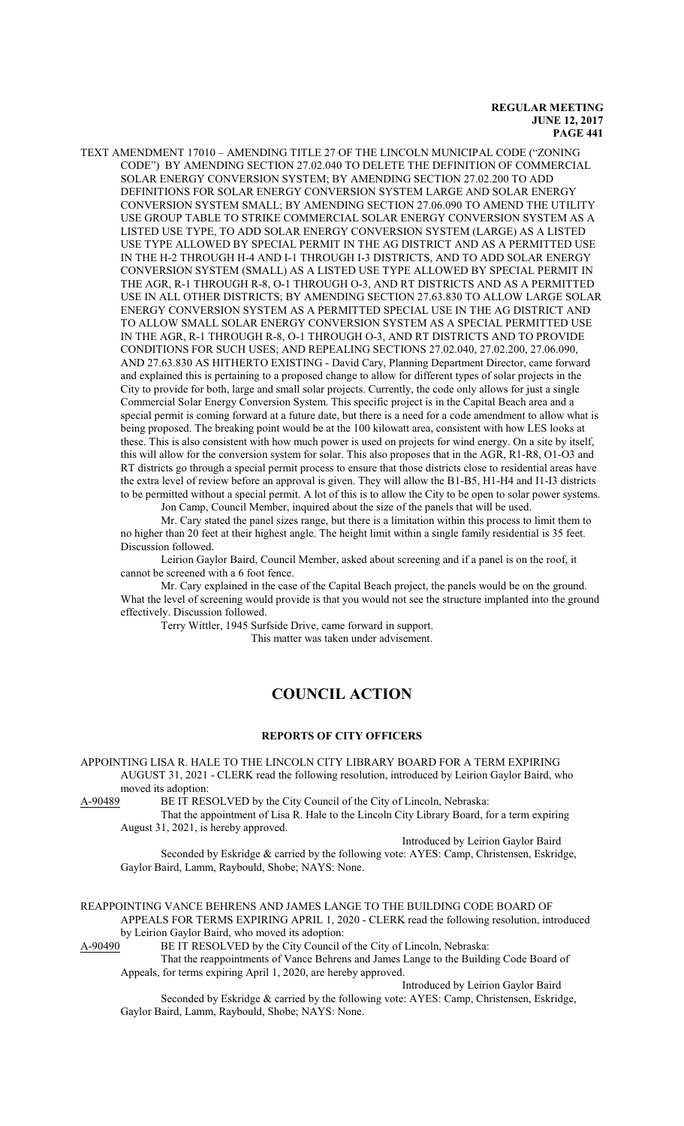TEXT AMENDMENT 17010 – AMENDING TITLE 27 OF THE LINCOLN MUNICIPAL CODE ("ZONING CODE") BY AMENDING SECTION 27.02.040 TO DELETE THE DEFINITION OF COMMERCIAL SOLAR ENERGY CONVERSION SYSTEM; BY AMENDING SECTION 27.02.200 TO ADD DEFINITIONS FOR SOLAR ENERGY CONVERSION SYSTEM LARGE AND SOLAR ENERGY CONVERSION SYSTEM SMALL; BY AMENDING SECTION 27.06.090 TO AMEND THE UTILITY USE GROUP TABLE TO STRIKE COMMERCIAL SOLAR ENERGY CONVERSION SYSTEM AS A LISTED USE TYPE, TO ADD SOLAR ENERGY CONVERSION SYSTEM (LARGE) AS A LISTED USE TYPE ALLOWED BY SPECIAL PERMIT IN THE AG DISTRICT AND AS A PERMITTED USE IN THE H-2 THROUGH H-4 AND I-1 THROUGH I-3 DISTRICTS, AND TO ADD SOLAR ENERGY CONVERSION SYSTEM (SMALL) AS A LISTED USE TYPE ALLOWED BY SPECIAL PERMIT IN THE AGR, R-1 THROUGH R-8, O-1 THROUGH O-3, AND RT DISTRICTS AND AS A PERMITTED USE IN ALL OTHER DISTRICTS; BY AMENDING SECTION 27.63.830 TO ALLOW LARGE SOLAR ENERGY CONVERSION SYSTEM AS A PERMITTED SPECIAL USE IN THE AG DISTRICT AND TO ALLOW SMALL SOLAR ENERGY CONVERSION SYSTEM AS A SPECIAL PERMITTED USE IN THE AGR, R-1 THROUGH R-8, O-1 THROUGH O-3, AND RT DISTRICTS AND TO PROVIDE CONDITIONS FOR SUCH USES; AND REPEALING SECTIONS 27.02.040, 27.02.200, 27.06.090, AND 27.63.830 AS HITHERTO EXISTING - David Cary, Planning Department Director, came forward and explained this is pertaining to a proposed change to allow for different types of solar projects in the City to provide for both, large and small solar projects. Currently, the code only allows for just a single Commercial Solar Energy Conversion System. This specific project is in the Capital Beach area and a special permit is coming forward at a future date, but there is a need for a code amendment to allow what is being proposed. The breaking point would be at the 100 kilowatt area, consistent with how LES looks at these. This is also consistent with how much power is used on projects for wind energy. On a site by itself, this will allow for the conversion system for solar. This also proposes that in the AGR, R1-R8, O1-O3 and RT districts go through a special permit process to ensure that those districts close to residential areas have the extra level of review before an approval is given. They will allow the B1-B5, H1-H4 and I1-I3 districts to be permitted without a special permit. A lot of this is to allow the City to be open to solar power systems. Jon Camp, Council Member, inquired about the size of the panels that will be used.

Mr. Cary stated the panel sizes range, but there is a limitation within this process to limit them to no higher than 20 feet at their highest angle. The height limit within a single family residential is 35 feet. Discussion followed.

Leirion Gaylor Baird, Council Member, asked about screening and if a panel is on the roof, it cannot be screened with a 6 foot fence.

Mr. Cary explained in the case of the Capital Beach project, the panels would be on the ground. What the level of screening would provide is that you would not see the structure implanted into the ground effectively. Discussion followed.

Terry Wittler, 1945 Surfside Drive, came forward in support.

This matter was taken under advisement.

# **COUNCIL ACTION**

### **REPORTS OF CITY OFFICERS**

APPOINTING LISA R. HALE TO THE LINCOLN CITY LIBRARY BOARD FOR A TERM EXPIRING AUGUST 31, 2021 - CLERK read the following resolution, introduced by Leirion Gaylor Baird, who moved its adoption:<br>A-90489 BE IT RES

BE IT RESOLVED by the City Council of the City of Lincoln, Nebraska:

That the appointment of Lisa R. Hale to the Lincoln City Library Board, for a term expiring August 31, 2021, is hereby approved.

Introduced by Leirion Gaylor Baird Seconded by Eskridge & carried by the following vote: AYES: Camp, Christensen, Eskridge, Gaylor Baird, Lamm, Raybould, Shobe; NAYS: None.

REAPPOINTING VANCE BEHRENS AND JAMES LANGE TO THE BUILDING CODE BOARD OF APPEALS FOR TERMS EXPIRING APRIL 1, 2020 - CLERK read the following resolution, introduced by Leirion Gaylor Baird, who moved its adoption:

A-90490 BE IT RESOLVED by the City Council of the City of Lincoln, Nebraska:

That the reappointments of Vance Behrens and James Lange to the Building Code Board of Appeals, for terms expiring April 1, 2020, are hereby approved.

Introduced by Leirion Gaylor Baird

Seconded by Eskridge & carried by the following vote: AYES: Camp, Christensen, Eskridge, Gaylor Baird, Lamm, Raybould, Shobe; NAYS: None.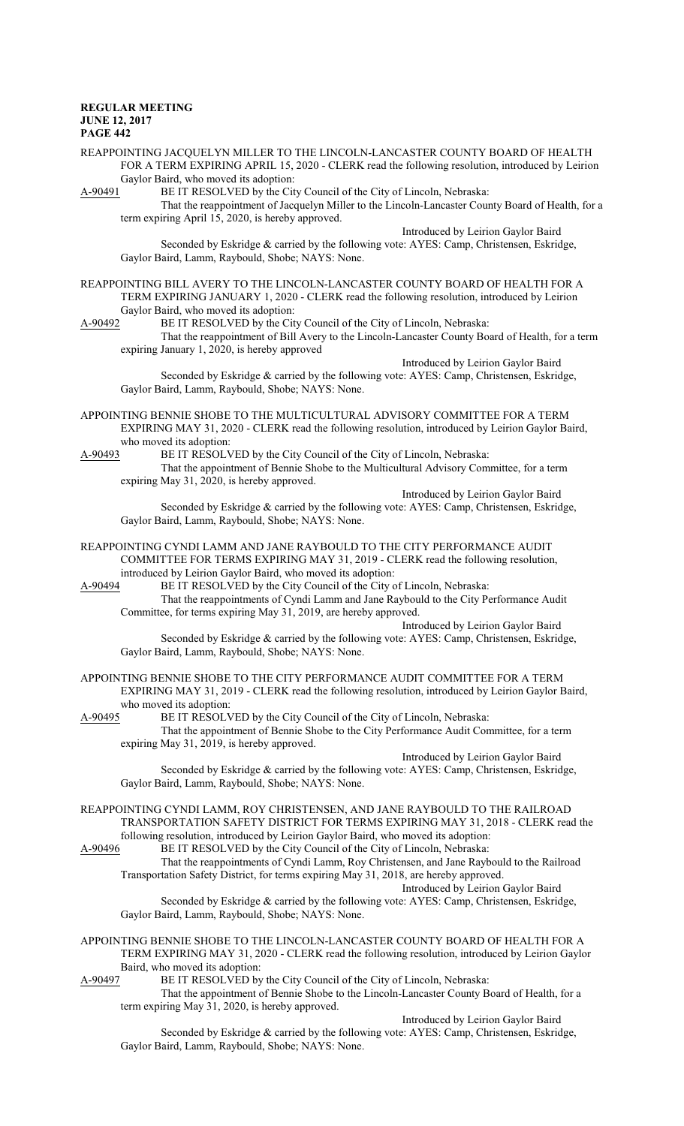REAPPOINTING JACQUELYN MILLER TO THE LINCOLN-LANCASTER COUNTY BOARD OF HEALTH FOR A TERM EXPIRING APRIL 15, 2020 - CLERK read the following resolution, introduced by Leirion Gaylor Baird, who moved its adoption:

A-90491 BE IT RESOLVED by the City Council of the City of Lincoln, Nebraska:

That the reappointment of Jacquelyn Miller to the Lincoln-Lancaster County Board of Health, for a term expiring April 15, 2020, is hereby approved.

Introduced by Leirion Gaylor Baird

Seconded by Eskridge & carried by the following vote: AYES: Camp, Christensen, Eskridge, Gaylor Baird, Lamm, Raybould, Shobe; NAYS: None.

REAPPOINTING BILL AVERY TO THE LINCOLN-LANCASTER COUNTY BOARD OF HEALTH FOR A TERM EXPIRING JANUARY 1, 2020 - CLERK read the following resolution, introduced by Leirion Gaylor Baird, who moved its adoption:<br>A-90492 BE IT RESOLVED by the Cit

BE IT RESOLVED by the City Council of the City of Lincoln, Nebraska:

That the reappointment of Bill Avery to the Lincoln-Lancaster County Board of Health, for a term expiring January 1, 2020, is hereby approved

Introduced by Leirion Gaylor Baird Seconded by Eskridge & carried by the following vote: AYES: Camp, Christensen, Eskridge, Gaylor Baird, Lamm, Raybould, Shobe; NAYS: None.

APPOINTING BENNIE SHOBE TO THE MULTICULTURAL ADVISORY COMMITTEE FOR A TERM EXPIRING MAY 31, 2020 - CLERK read the following resolution, introduced by Leirion Gaylor Baird, who moved its adoption:

A-90493 BE IT RESOLVED by the City Council of the City of Lincoln, Nebraska: That the appointment of Bennie Shobe to the Multicultural Advisory Committee, for a term expiring May 31, 2020, is hereby approved.

Introduced by Leirion Gaylor Baird Seconded by Eskridge & carried by the following vote: AYES: Camp, Christensen, Eskridge, Gaylor Baird, Lamm, Raybould, Shobe; NAYS: None.

REAPPOINTING CYNDI LAMM AND JANE RAYBOULD TO THE CITY PERFORMANCE AUDIT COMMITTEE FOR TERMS EXPIRING MAY 31, 2019 - CLERK read the following resolution, introduced by Leirion Gaylor Baird, who moved its adoption:

A-90494 BE IT RESOLVED by the City Council of the City of Lincoln, Nebraska:

That the reappointments of Cyndi Lamm and Jane Raybould to the City Performance Audit Committee, for terms expiring May 31, 2019, are hereby approved.

Introduced by Leirion Gaylor Baird Seconded by Eskridge & carried by the following vote: AYES: Camp, Christensen, Eskridge, Gaylor Baird, Lamm, Raybould, Shobe; NAYS: None.

APPOINTING BENNIE SHOBE TO THE CITY PERFORMANCE AUDIT COMMITTEE FOR A TERM EXPIRING MAY 31, 2019 - CLERK read the following resolution, introduced by Leirion Gaylor Baird, who moved its adoption:

A-90495 BE IT RESOLVED by the City Council of the City of Lincoln, Nebraska:

That the appointment of Bennie Shobe to the City Performance Audit Committee, for a term expiring May 31, 2019, is hereby approved.

Introduced by Leirion Gaylor Baird Seconded by Eskridge & carried by the following vote: AYES: Camp, Christensen, Eskridge, Gaylor Baird, Lamm, Raybould, Shobe; NAYS: None.

REAPPOINTING CYNDI LAMM, ROY CHRISTENSEN, AND JANE RAYBOULD TO THE RAILROAD TRANSPORTATION SAFETY DISTRICT FOR TERMS EXPIRING MAY 31, 2018 - CLERK read the following resolution, introduced by Leirion Gaylor Baird, who moved its adoption:

A-90496 BE IT RESOLVED by the City Council of the City of Lincoln, Nebraska:

That the reappointments of Cyndi Lamm, Roy Christensen, and Jane Raybould to the Railroad Transportation Safety District, for terms expiring May 31, 2018, are hereby approved. Introduced by Leirion Gaylor Baird

Seconded by Eskridge & carried by the following vote: AYES: Camp, Christensen, Eskridge, Gaylor Baird, Lamm, Raybould, Shobe; NAYS: None.

APPOINTING BENNIE SHOBE TO THE LINCOLN-LANCASTER COUNTY BOARD OF HEALTH FOR A TERM EXPIRING MAY 31, 2020 - CLERK read the following resolution, introduced by Leirion Gaylor Baird, who moved its adoption:<br>A-90497 BE IT RESOLVED by

BE IT RESOLVED by the City Council of the City of Lincoln, Nebraska:

That the appointment of Bennie Shobe to the Lincoln-Lancaster County Board of Health, for a term expiring May 31, 2020, is hereby approved.

Introduced by Leirion Gaylor Baird

Seconded by Eskridge & carried by the following vote: AYES: Camp, Christensen, Eskridge, Gaylor Baird, Lamm, Raybould, Shobe; NAYS: None.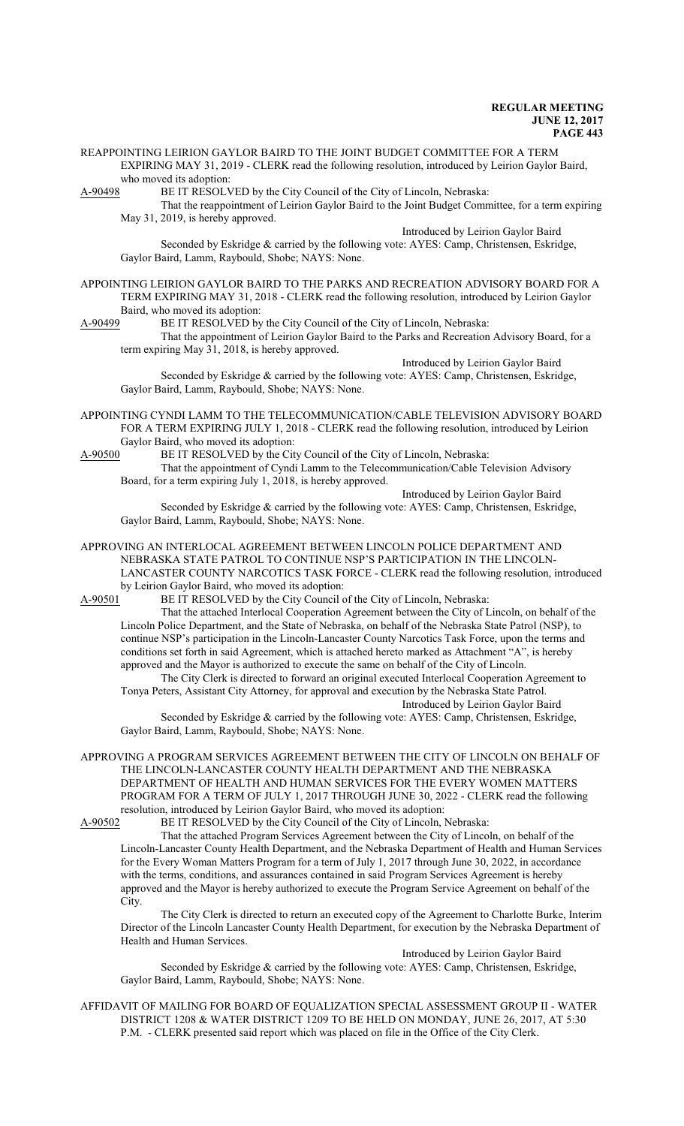REAPPOINTING LEIRION GAYLOR BAIRD TO THE JOINT BUDGET COMMITTEE FOR A TERM EXPIRING MAY 31, 2019 - CLERK read the following resolution, introduced by Leirion Gaylor Baird, who moved its adoption:<br>A-90498 BE IT RESOLV

BE IT RESOLVED by the City Council of the City of Lincoln, Nebraska:

That the reappointment of Leirion Gaylor Baird to the Joint Budget Committee, for a term expiring May 31, 2019, is hereby approved.

Introduced by Leirion Gaylor Baird

Seconded by Eskridge & carried by the following vote: AYES: Camp, Christensen, Eskridge, Gaylor Baird, Lamm, Raybould, Shobe; NAYS: None.

APPOINTING LEIRION GAYLOR BAIRD TO THE PARKS AND RECREATION ADVISORY BOARD FOR A TERM EXPIRING MAY 31, 2018 - CLERK read the following resolution, introduced by Leirion Gaylor Baird, who moved its adoption:<br>A-90499 BE IT RESOLVED by

BE IT RESOLVED by the City Council of the City of Lincoln, Nebraska:

That the appointment of Leirion Gaylor Baird to the Parks and Recreation Advisory Board, for a term expiring May 31, 2018, is hereby approved.

Introduced by Leirion Gaylor Baird Seconded by Eskridge & carried by the following vote: AYES: Camp, Christensen, Eskridge, Gaylor Baird, Lamm, Raybould, Shobe; NAYS: None.

APPOINTING CYNDI LAMM TO THE TELECOMMUNICATION/CABLE TELEVISION ADVISORY BOARD FOR A TERM EXPIRING JULY 1, 2018 - CLERK read the following resolution, introduced by Leirion Gaylor Baird, who moved its adoption:<br>A-90500 BE IT RESOLVED by the Cit

BE IT RESOLVED by the City Council of the City of Lincoln, Nebraska: That the appointment of Cyndi Lamm to the Telecommunication/Cable Television Advisory Board, for a term expiring July 1, 2018, is hereby approved.

Introduced by Leirion Gaylor Baird Seconded by Eskridge & carried by the following vote: AYES: Camp, Christensen, Eskridge, Gaylor Baird, Lamm, Raybould, Shobe; NAYS: None.

APPROVING AN INTERLOCAL AGREEMENT BETWEEN LINCOLN POLICE DEPARTMENT AND NEBRASKA STATE PATROL TO CONTINUE NSP'S PARTICIPATION IN THE LINCOLN-LANCASTER COUNTY NARCOTICS TASK FORCE - CLERK read the following resolution, introduced by Leirion Gaylor Baird, who moved its adoption:

A-90501 BE IT RESOLVED by the City Council of the City of Lincoln, Nebraska:

That the attached Interlocal Cooperation Agreement between the City of Lincoln, on behalf of the Lincoln Police Department, and the State of Nebraska, on behalf of the Nebraska State Patrol (NSP), to continue NSP's participation in the Lincoln-Lancaster County Narcotics Task Force, upon the terms and conditions set forth in said Agreement, which is attached hereto marked as Attachment "A", is hereby approved and the Mayor is authorized to execute the same on behalf of the City of Lincoln.

The City Clerk is directed to forward an original executed Interlocal Cooperation Agreement to Tonya Peters, Assistant City Attorney, for approval and execution by the Nebraska State Patrol.

Introduced by Leirion Gaylor Baird Seconded by Eskridge & carried by the following vote: AYES: Camp, Christensen, Eskridge, Gaylor Baird, Lamm, Raybould, Shobe; NAYS: None.

APPROVING A PROGRAM SERVICES AGREEMENT BETWEEN THE CITY OF LINCOLN ON BEHALF OF THE LINCOLN-LANCASTER COUNTY HEALTH DEPARTMENT AND THE NEBRASKA DEPARTMENT OF HEALTH AND HUMAN SERVICES FOR THE EVERY WOMEN MATTERS PROGRAM FOR A TERM OF JULY 1, 2017 THROUGH JUNE 30, 2022 - CLERK read the following resolution, introduced by Leirion Gaylor Baird, who moved its adoption:<br>A-90502 BE IT RESOLVED by the City Council of the City of Lincoln.

BE IT RESOLVED by the City Council of the City of Lincoln, Nebraska:

That the attached Program Services Agreement between the City of Lincoln, on behalf of the Lincoln-Lancaster County Health Department, and the Nebraska Department of Health and Human Services for the Every Woman Matters Program for a term of July 1, 2017 through June 30, 2022, in accordance with the terms, conditions, and assurances contained in said Program Services Agreement is hereby approved and the Mayor is hereby authorized to execute the Program Service Agreement on behalf of the City.

The City Clerk is directed to return an executed copy of the Agreement to Charlotte Burke, Interim Director of the Lincoln Lancaster County Health Department, for execution by the Nebraska Department of Health and Human Services.

Introduced by Leirion Gaylor Baird

Seconded by Eskridge & carried by the following vote: AYES: Camp, Christensen, Eskridge, Gaylor Baird, Lamm, Raybould, Shobe; NAYS: None.

AFFIDAVIT OF MAILING FOR BOARD OF EQUALIZATION SPECIAL ASSESSMENT GROUP II - WATER DISTRICT 1208 & WATER DISTRICT 1209 TO BE HELD ON MONDAY, JUNE 26, 2017, AT 5:30 P.M. - CLERK presented said report which was placed on file in the Office of the City Clerk.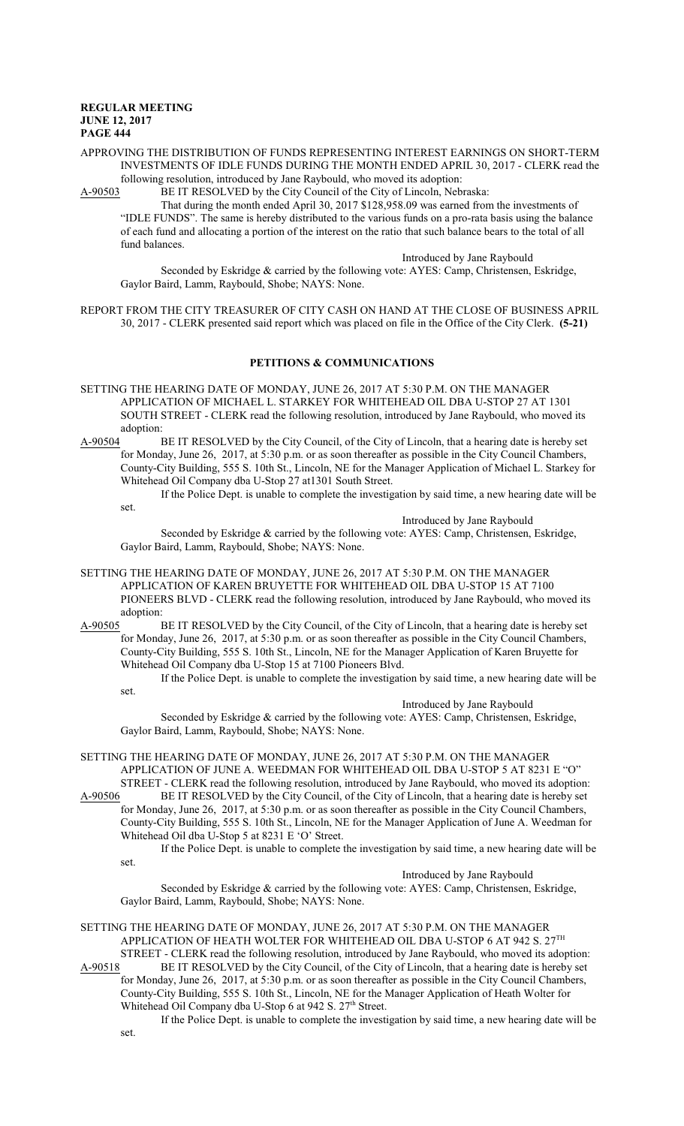### APPROVING THE DISTRIBUTION OF FUNDS REPRESENTING INTEREST EARNINGS ON SHORT-TERM INVESTMENTS OF IDLE FUNDS DURING THE MONTH ENDED APRIL 30, 2017 - CLERK read the following resolution, introduced by Jane Raybould, who moved its adoption:

A-90503 BE IT RESOLVED by the City Council of the City of Lincoln, Nebraska:

That during the month ended April 30, 2017 \$128,958.09 was earned from the investments of "IDLE FUNDS". The same is hereby distributed to the various funds on a pro-rata basis using the balance of each fund and allocating a portion of the interest on the ratio that such balance bears to the total of all fund balances.

Introduced by Jane Raybould

Seconded by Eskridge & carried by the following vote: AYES: Camp, Christensen, Eskridge, Gaylor Baird, Lamm, Raybould, Shobe; NAYS: None.

REPORT FROM THE CITY TREASURER OF CITY CASH ON HAND AT THE CLOSE OF BUSINESS APRIL 30, 2017 - CLERK presented said report which was placed on file in the Office of the City Clerk. **(5-21)**

## **PETITIONS & COMMUNICATIONS**

- SETTING THE HEARING DATE OF MONDAY, JUNE 26, 2017 AT 5:30 P.M. ON THE MANAGER APPLICATION OF MICHAEL L. STARKEY FOR WHITEHEAD OIL DBA U-STOP 27 AT 1301 SOUTH STREET - CLERK read the following resolution, introduced by Jane Raybould, who moved its adoption:<br>A-90504 I
- BE IT RESOLVED by the City Council, of the City of Lincoln, that a hearing date is hereby set for Monday, June 26, 2017, at 5:30 p.m. or as soon thereafter as possible in the City Council Chambers, County-City Building, 555 S. 10th St., Lincoln, NE for the Manager Application of Michael L. Starkey for Whitehead Oil Company dba U-Stop 27 at1301 South Street.
	- If the Police Dept. is unable to complete the investigation by said time, a new hearing date will be set.

Introduced by Jane Raybould

Seconded by Eskridge & carried by the following vote: AYES: Camp, Christensen, Eskridge, Gaylor Baird, Lamm, Raybould, Shobe; NAYS: None.

- SETTING THE HEARING DATE OF MONDAY, JUNE 26, 2017 AT 5:30 P.M. ON THE MANAGER APPLICATION OF KAREN BRUYETTE FOR WHITEHEAD OIL DBA U-STOP 15 AT 7100 PIONEERS BLVD - CLERK read the following resolution, introduced by Jane Raybould, who moved its adoption:
- A-90505 BE IT RESOLVED by the City Council, of the City of Lincoln, that a hearing date is hereby set for Monday, June 26, 2017, at 5:30 p.m. or as soon thereafter as possible in the City Council Chambers, County-City Building, 555 S. 10th St., Lincoln, NE for the Manager Application of Karen Bruyette for Whitehead Oil Company dba U-Stop 15 at 7100 Pioneers Blvd.

If the Police Dept. is unable to complete the investigation by said time, a new hearing date will be set.

Introduced by Jane Raybould Seconded by Eskridge & carried by the following vote: AYES: Camp, Christensen, Eskridge, Gaylor Baird, Lamm, Raybould, Shobe; NAYS: None.

SETTING THE HEARING DATE OF MONDAY, JUNE 26, 2017 AT 5:30 P.M. ON THE MANAGER APPLICATION OF JUNE A. WEEDMAN FOR WHITEHEAD OIL DBA U-STOP 5 AT 8231 E "O" STREET - CLERK read the following resolution, introduced by Jane Raybould, who moved its adoption:<br>A-90506 BE IT RESOLVED by the City Council, of the City of Lincoln, that a hearing date is hereby set BE IT RESOLVED by the City Council, of the City of Lincoln, that a hearing date is hereby set

for Monday, June 26, 2017, at 5:30 p.m. or as soon thereafter as possible in the City Council Chambers, County-City Building, 555 S. 10th St., Lincoln, NE for the Manager Application of June A. Weedman for Whitehead Oil dba U-Stop 5 at 8231 E 'O' Street.

If the Police Dept. is unable to complete the investigation by said time, a new hearing date will be set.

Introduced by Jane Raybould

Seconded by Eskridge & carried by the following vote: AYES: Camp, Christensen, Eskridge, Gaylor Baird, Lamm, Raybould, Shobe; NAYS: None.

SETTING THE HEARING DATE OF MONDAY, JUNE 26, 2017 AT 5:30 P.M. ON THE MANAGER APPLICATION OF HEATH WOLTER FOR WHITEHEAD OIL DBA U-STOP 6 AT 942 S.  $27^{\text{TH}}$ STREET - CLERK read the following resolution, introduced by Jane Raybould, who moved its adoption: A-90518 BE IT RESOLVED by the City Council, of the City of Lincoln, that a hearing date is hereby set

for Monday, June 26, 2017, at 5:30 p.m. or as soon thereafter as possible in the City Council Chambers, County-City Building, 555 S. 10th St., Lincoln, NE for the Manager Application of Heath Wolter for Whitehead Oil Company dba U-Stop 6 at 942 S. 27<sup>th</sup> Street.

If the Police Dept. is unable to complete the investigation by said time, a new hearing date will be set.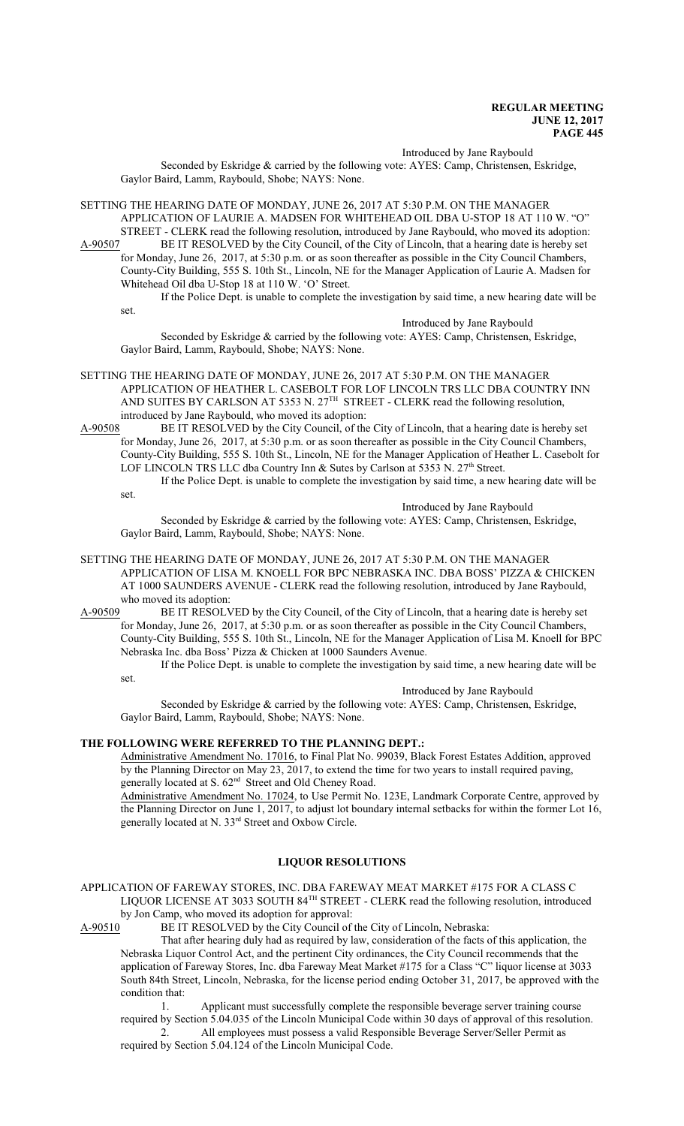Introduced by Jane Raybould

Seconded by Eskridge & carried by the following vote: AYES: Camp, Christensen, Eskridge, Gaylor Baird, Lamm, Raybould, Shobe; NAYS: None.

SETTING THE HEARING DATE OF MONDAY, JUNE 26, 2017 AT 5:30 P.M. ON THE MANAGER APPLICATION OF LAURIE A. MADSEN FOR WHITEHEAD OIL DBA U-STOP 18 AT 110 W. "O" STREET - CLERK read the following resolution, introduced by Jane Raybould, who moved its adoption:

A-90507 BE IT RESOLVED by the City Council, of the City of Lincoln, that a hearing date is hereby set for Monday, June 26, 2017, at 5:30 p.m. or as soon thereafter as possible in the City Council Chambers, County-City Building, 555 S. 10th St., Lincoln, NE for the Manager Application of Laurie A. Madsen for Whitehead Oil dba U-Stop 18 at 110 W. 'O' Street.

If the Police Dept. is unable to complete the investigation by said time, a new hearing date will be set.

Introduced by Jane Raybould

Seconded by Eskridge & carried by the following vote: AYES: Camp, Christensen, Eskridge, Gaylor Baird, Lamm, Raybould, Shobe; NAYS: None.

SETTING THE HEARING DATE OF MONDAY, JUNE 26, 2017 AT 5:30 P.M. ON THE MANAGER APPLICATION OF HEATHER L. CASEBOLT FOR LOF LINCOLN TRS LLC DBA COUNTRY INN AND SUITES BY CARLSON AT 5353 N.  $27<sup>TH</sup>$  STREET - CLERK read the following resolution, introduced by Jane Raybould, who moved its adoption:

A-90508 BE IT RESOLVED by the City Council, of the City of Lincoln, that a hearing date is hereby set for Monday, June 26, 2017, at 5:30 p.m. or as soon thereafter as possible in the City Council Chambers, County-City Building, 555 S. 10th St., Lincoln, NE for the Manager Application of Heather L. Casebolt for LOF LINCOLN TRS LLC dba Country Inn & Sutes by Carlson at 5353 N. 27<sup>th</sup> Street. If the Police Dept. is unable to complete the investigation by said time, a new hearing date will be

set.

Introduced by Jane Raybould

Seconded by Eskridge & carried by the following vote: AYES: Camp, Christensen, Eskridge, Gaylor Baird, Lamm, Raybould, Shobe; NAYS: None.

SETTING THE HEARING DATE OF MONDAY, JUNE 26, 2017 AT 5:30 P.M. ON THE MANAGER APPLICATION OF LISA M. KNOELL FOR BPC NEBRASKA INC. DBA BOSS' PIZZA & CHICKEN AT 1000 SAUNDERS AVENUE - CLERK read the following resolution, introduced by Jane Raybould, who moved its adoption:

A-90509 BE IT RESOLVED by the City Council, of the City of Lincoln, that a hearing date is hereby set for Monday, June 26, 2017, at 5:30 p.m. or as soon thereafter as possible in the City Council Chambers, County-City Building, 555 S. 10th St., Lincoln, NE for the Manager Application of Lisa M. Knoell for BPC Nebraska Inc. dba Boss' Pizza & Chicken at 1000 Saunders Avenue.

If the Police Dept. is unable to complete the investigation by said time, a new hearing date will be set.

Introduced by Jane Raybould

Seconded by Eskridge & carried by the following vote: AYES: Camp, Christensen, Eskridge, Gaylor Baird, Lamm, Raybould, Shobe; NAYS: None.

## **THE FOLLOWING WERE REFERRED TO THE PLANNING DEPT.:**

Administrative Amendment No. 17016, to Final Plat No. 99039, Black Forest Estates Addition, approved by the Planning Director on May 23, 2017, to extend the time for two years to install required paving, generally located at S. 62<sup>nd</sup> Street and Old Cheney Road.

Administrative Amendment No. 17024, to Use Permit No. 123E, Landmark Corporate Centre, approved by the Planning Director on June 1, 2017, to adjust lot boundary internal setbacks for within the former Lot 16, generally located at N. 33 rd Street and Oxbow Circle.

# **LIQUOR RESOLUTIONS**

APPLICATION OF FAREWAY STORES, INC. DBA FAREWAY MEAT MARKET #175 FOR A CLASS C LIQUOR LICENSE AT 3033 SOUTH 84<sup>TH</sup> STREET - CLERK read the following resolution, introduced

by Jon Camp, who moved its adoption for approval:<br>A-90510 BE IT RESOLVED by the City Council of BE IT RESOLVED by the City Council of the City of Lincoln, Nebraska:

That after hearing duly had as required by law, consideration of the facts of this application, the Nebraska Liquor Control Act, and the pertinent City ordinances, the City Council recommends that the application of Fareway Stores, Inc. dba Fareway Meat Market #175 for a Class "C" liquor license at 3033 South 84th Street, Lincoln, Nebraska, for the license period ending October 31, 2017, be approved with the condition that:

1. Applicant must successfully complete the responsible beverage server training course required by Section 5.04.035 of the Lincoln Municipal Code within 30 days of approval of this resolution.

2. All employees must possess a valid Responsible Beverage Server/Seller Permit as required by Section 5.04.124 of the Lincoln Municipal Code.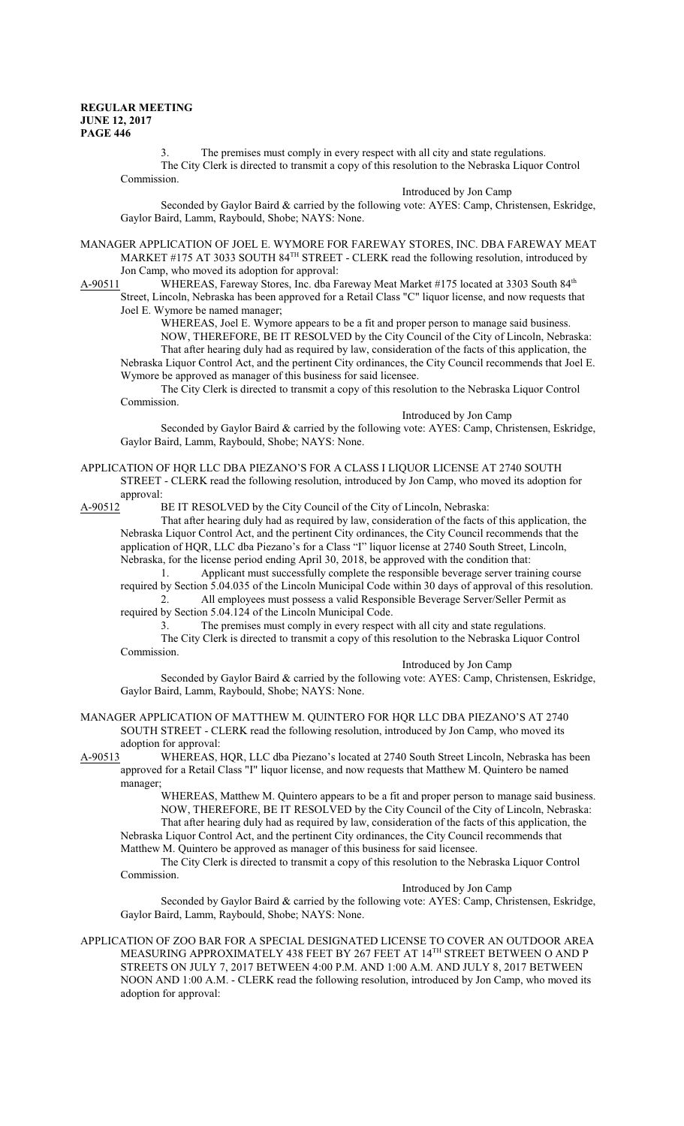3. The premises must comply in every respect with all city and state regulations. The City Clerk is directed to transmit a copy of this resolution to the Nebraska Liquor Control Commission.

Introduced by Jon Camp

Seconded by Gaylor Baird & carried by the following vote: AYES: Camp, Christensen, Eskridge, Gaylor Baird, Lamm, Raybould, Shobe; NAYS: None.

MANAGER APPLICATION OF JOEL E. WYMORE FOR FAREWAY STORES, INC. DBA FAREWAY MEAT MARKET #175 AT 3033 SOUTH 84<sup>TH</sup> STREET - CLERK read the following resolution, introduced by Jon Camp, who moved its adoption for approval:

A-90511 WHEREAS, Fareway Stores, Inc. dba Fareway Meat Market #175 located at 3303 South 84<sup>th</sup> Street, Lincoln, Nebraska has been approved for a Retail Class "C" liquor license, and now requests that Joel E. Wymore be named manager;

WHEREAS, Joel E. Wymore appears to be a fit and proper person to manage said business. NOW, THEREFORE, BE IT RESOLVED by the City Council of the City of Lincoln, Nebraska: That after hearing duly had as required by law, consideration of the facts of this application, the Nebraska Liquor Control Act, and the pertinent City ordinances, the City Council recommends that Joel E. Wymore be approved as manager of this business for said licensee.

The City Clerk is directed to transmit a copy of this resolution to the Nebraska Liquor Control Commission.

Introduced by Jon Camp Seconded by Gaylor Baird & carried by the following vote: AYES: Camp, Christensen, Eskridge, Gaylor Baird, Lamm, Raybould, Shobe; NAYS: None.

APPLICATION OF HQR LLC DBA PIEZANO'S FOR A CLASS I LIQUOR LICENSE AT 2740 SOUTH STREET - CLERK read the following resolution, introduced by Jon Camp, who moved its adoption for

approval:<br>A-90512 H

BE IT RESOLVED by the City Council of the City of Lincoln, Nebraska:

That after hearing duly had as required by law, consideration of the facts of this application, the Nebraska Liquor Control Act, and the pertinent City ordinances, the City Council recommends that the application of HQR, LLC dba Piezano's for a Class "I" liquor license at 2740 South Street, Lincoln, Nebraska, for the license period ending April 30, 2018, be approved with the condition that:

1. Applicant must successfully complete the responsible beverage server training course required by Section 5.04.035 of the Lincoln Municipal Code within 30 days of approval of this resolution. 2. All employees must possess a valid Responsible Beverage Server/Seller Permit as

required by Section 5.04.124 of the Lincoln Municipal Code.

3. The premises must comply in every respect with all city and state regulations. The City Clerk is directed to transmit a copy of this resolution to the Nebraska Liquor Control Commission.

Introduced by Jon Camp

Seconded by Gaylor Baird & carried by the following vote: AYES: Camp, Christensen, Eskridge, Gaylor Baird, Lamm, Raybould, Shobe; NAYS: None.

MANAGER APPLICATION OF MATTHEW M. QUINTERO FOR HQR LLC DBA PIEZANO'S AT 2740 SOUTH STREET - CLERK read the following resolution, introduced by Jon Camp, who moved its adoption for approval:

A-90513 WHEREAS, HQR, LLC dba Piezano's located at 2740 South Street Lincoln, Nebraska has been approved for a Retail Class "I" liquor license, and now requests that Matthew M. Quintero be named manager;

WHEREAS, Matthew M. Quintero appears to be a fit and proper person to manage said business. NOW, THEREFORE, BE IT RESOLVED by the City Council of the City of Lincoln, Nebraska: That after hearing duly had as required by law, consideration of the facts of this application, the Nebraska Liquor Control Act, and the pertinent City ordinances, the City Council recommends that

Matthew M. Quintero be approved as manager of this business for said licensee.

The City Clerk is directed to transmit a copy of this resolution to the Nebraska Liquor Control Commission.

Introduced by Jon Camp

Seconded by Gaylor Baird & carried by the following vote: AYES: Camp, Christensen, Eskridge, Gaylor Baird, Lamm, Raybould, Shobe; NAYS: None.

APPLICATION OF ZOO BAR FOR A SPECIAL DESIGNATED LICENSE TO COVER AN OUTDOOR AREA MEASURING APPROXIMATELY 438 FEET BY 267 FEET AT 14 TH STREET BETWEEN O AND P STREETS ON JULY 7, 2017 BETWEEN 4:00 P.M. AND 1:00 A.M. AND JULY 8, 2017 BETWEEN NOON AND 1:00 A.M. - CLERK read the following resolution, introduced by Jon Camp, who moved its adoption for approval: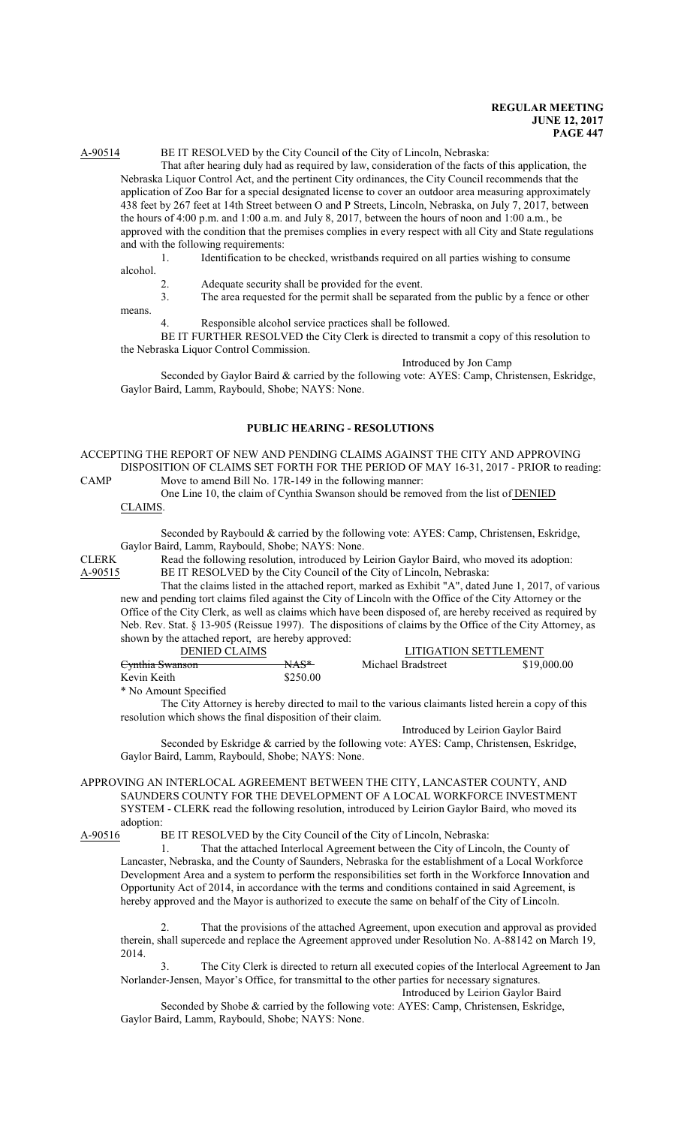## A-90514 BE IT RESOLVED by the City Council of the City of Lincoln, Nebraska:

That after hearing duly had as required by law, consideration of the facts of this application, the Nebraska Liquor Control Act, and the pertinent City ordinances, the City Council recommends that the application of Zoo Bar for a special designated license to cover an outdoor area measuring approximately 438 feet by 267 feet at 14th Street between O and P Streets, Lincoln, Nebraska, on July 7, 2017, between the hours of 4:00 p.m. and 1:00 a.m. and July 8, 2017, between the hours of noon and 1:00 a.m., be approved with the condition that the premises complies in every respect with all City and State regulations and with the following requirements:

1. Identification to be checked, wristbands required on all parties wishing to consume

alcohol.

- 2. Adequate security shall be provided for the event.
- 3. The area requested for the permit shall be separated from the public by a fence or other means.

Responsible alcohol service practices shall be followed.

BE IT FURTHER RESOLVED the City Clerk is directed to transmit a copy of this resolution to the Nebraska Liquor Control Commission.

Introduced by Jon Camp Seconded by Gaylor Baird & carried by the following vote: AYES: Camp, Christensen, Eskridge, Gaylor Baird, Lamm, Raybould, Shobe; NAYS: None.

#### **PUBLIC HEARING - RESOLUTIONS**

ACCEPTING THE REPORT OF NEW AND PENDING CLAIMS AGAINST THE CITY AND APPROVING DISPOSITION OF CLAIMS SET FORTH FOR THE PERIOD OF MAY 16-31, 2017 - PRIOR to reading:

CAMP Move to amend Bill No. 17R-149 in the following manner: One Line 10, the claim of Cynthia Swanson should be removed from the list of DENIED

CLAIMS.

Seconded by Raybould & carried by the following vote: AYES: Camp, Christensen, Eskridge, Gaylor Baird, Lamm, Raybould, Shobe; NAYS: None.

CLERK Read the following resolution, introduced by Leirion Gaylor Baird, who moved its adoption: A-90515 BE IT RESOLVED by the City Council of the City of Lincoln, Nebraska:

That the claims listed in the attached report, marked as Exhibit "A", dated June 1, 2017, of various new and pending tort claims filed against the City of Lincoln with the Office of the City Attorney or the Office of the City Clerk, as well as claims which have been disposed of, are hereby received as required by Neb. Rev. Stat. § 13-905 (Reissue 1997). The dispositions of claims by the Office of the City Attorney, as shown by the attached report, are hereby approved:

| DENIED CLAIMS              |                 | LITIGATION SETTLEMENT |             |
|----------------------------|-----------------|-----------------------|-------------|
| <del>Cynthia Swanson</del> | <del>NAS*</del> | Michael Bradstreet    | \$19,000.00 |
| Kevin Keith-               | \$250.00        |                       |             |
| * No Amount Specified      |                 |                       |             |

The City Attorney is hereby directed to mail to the various claimants listed herein a copy of this resolution which shows the final disposition of their claim.

Introduced by Leirion Gaylor Baird

Seconded by Eskridge & carried by the following vote: AYES: Camp, Christensen, Eskridge, Gaylor Baird, Lamm, Raybould, Shobe; NAYS: None.

#### APPROVING AN INTERLOCAL AGREEMENT BETWEEN THE CITY, LANCASTER COUNTY, AND SAUNDERS COUNTY FOR THE DEVELOPMENT OF A LOCAL WORKFORCE INVESTMENT SYSTEM - CLERK read the following resolution, introduced by Leirion Gaylor Baird, who moved its adoption:

A-90516 BE IT RESOLVED by the City Council of the City of Lincoln, Nebraska:

1. That the attached Interlocal Agreement between the City of Lincoln, the County of Lancaster, Nebraska, and the County of Saunders, Nebraska for the establishment of a Local Workforce Development Area and a system to perform the responsibilities set forth in the Workforce Innovation and Opportunity Act of 2014, in accordance with the terms and conditions contained in said Agreement, is hereby approved and the Mayor is authorized to execute the same on behalf of the City of Lincoln.

2. That the provisions of the attached Agreement, upon execution and approval as provided therein, shall supercede and replace the Agreement approved under Resolution No. A-88142 on March 19, 2014.

The City Clerk is directed to return all executed copies of the Interlocal Agreement to Jan Norlander-Jensen, Mayor's Office, for transmittal to the other parties for necessary signatures. Introduced by Leirion Gaylor Baird

Seconded by Shobe & carried by the following vote: AYES: Camp, Christensen, Eskridge, Gaylor Baird, Lamm, Raybould, Shobe; NAYS: None.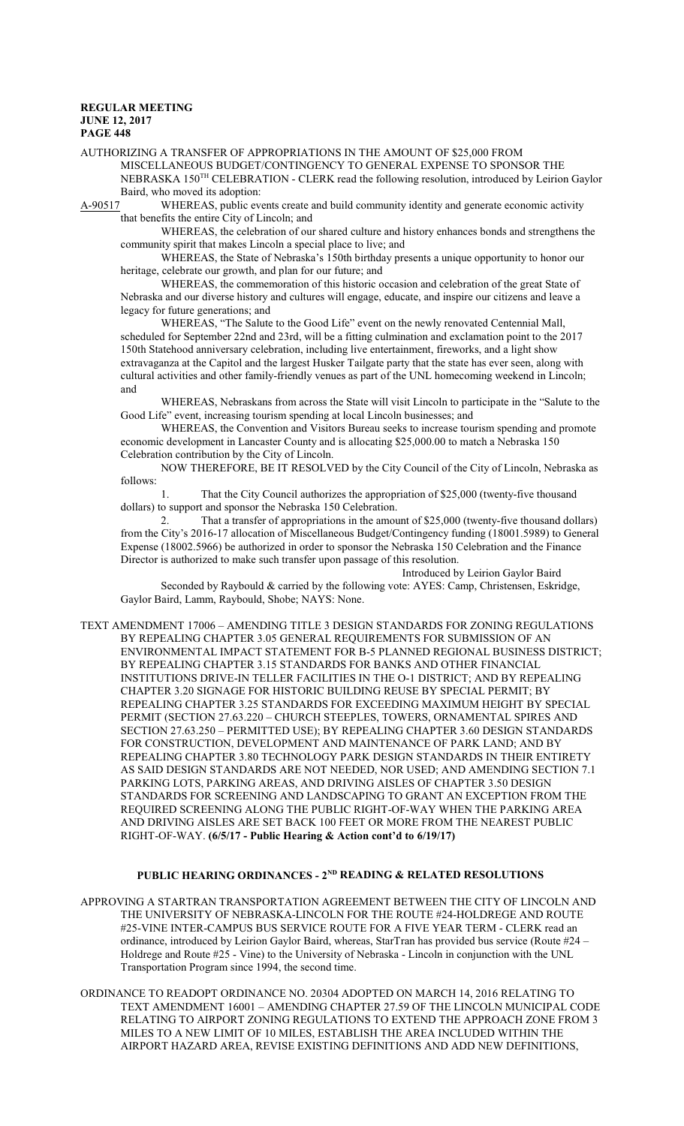AUTHORIZING A TRANSFER OF APPROPRIATIONS IN THE AMOUNT OF \$25,000 FROM MISCELLANEOUS BUDGET/CONTINGENCY TO GENERAL EXPENSE TO SPONSOR THE NEBRASKA 150<sup>TH</sup> CELEBRATION - CLERK read the following resolution, introduced by Leirion Gaylor

Baird, who moved its adoption:

A-90517 WHEREAS, public events create and build community identity and generate economic activity that benefits the entire City of Lincoln; and

WHEREAS, the celebration of our shared culture and history enhances bonds and strengthens the community spirit that makes Lincoln a special place to live; and

WHEREAS, the State of Nebraska's 150th birthday presents a unique opportunity to honor our heritage, celebrate our growth, and plan for our future; and

WHEREAS, the commemoration of this historic occasion and celebration of the great State of Nebraska and our diverse history and cultures will engage, educate, and inspire our citizens and leave a legacy for future generations; and

WHEREAS, "The Salute to the Good Life" event on the newly renovated Centennial Mall, scheduled for September 22nd and 23rd, will be a fitting culmination and exclamation point to the 2017 150th Statehood anniversary celebration, including live entertainment, fireworks, and a light show extravaganza at the Capitol and the largest Husker Tailgate party that the state has ever seen, along with cultural activities and other family-friendly venues as part of the UNL homecoming weekend in Lincoln; and

WHEREAS, Nebraskans from across the State will visit Lincoln to participate in the "Salute to the Good Life" event, increasing tourism spending at local Lincoln businesses; and

WHEREAS, the Convention and Visitors Bureau seeks to increase tourism spending and promote economic development in Lancaster County and is allocating \$25,000.00 to match a Nebraska 150 Celebration contribution by the City of Lincoln.

NOW THEREFORE, BE IT RESOLVED by the City Council of the City of Lincoln, Nebraska as follows:

1. That the City Council authorizes the appropriation of \$25,000 (twenty-five thousand dollars) to support and sponsor the Nebraska 150 Celebration.

2. That a transfer of appropriations in the amount of \$25,000 (twenty-five thousand dollars) from the City's 2016-17 allocation of Miscellaneous Budget/Contingency funding (18001.5989) to General Expense (18002.5966) be authorized in order to sponsor the Nebraska 150 Celebration and the Finance Director is authorized to make such transfer upon passage of this resolution.

Introduced by Leirion Gaylor Baird Seconded by Raybould & carried by the following vote: AYES: Camp, Christensen, Eskridge, Gaylor Baird, Lamm, Raybould, Shobe; NAYS: None.

TEXT AMENDMENT 17006 – AMENDING TITLE 3 DESIGN STANDARDS FOR ZONING REGULATIONS BY REPEALING CHAPTER 3.05 GENERAL REQUIREMENTS FOR SUBMISSION OF AN ENVIRONMENTAL IMPACT STATEMENT FOR B-5 PLANNED REGIONAL BUSINESS DISTRICT; BY REPEALING CHAPTER 3.15 STANDARDS FOR BANKS AND OTHER FINANCIAL INSTITUTIONS DRIVE-IN TELLER FACILITIES IN THE O-1 DISTRICT; AND BY REPEALING CHAPTER 3.20 SIGNAGE FOR HISTORIC BUILDING REUSE BY SPECIAL PERMIT; BY REPEALING CHAPTER 3.25 STANDARDS FOR EXCEEDING MAXIMUM HEIGHT BY SPECIAL PERMIT (SECTION 27.63.220 – CHURCH STEEPLES, TOWERS, ORNAMENTAL SPIRES AND SECTION 27.63.250 – PERMITTED USE); BY REPEALING CHAPTER 3.60 DESIGN STANDARDS FOR CONSTRUCTION, DEVELOPMENT AND MAINTENANCE OF PARK LAND; AND BY REPEALING CHAPTER 3.80 TECHNOLOGY PARK DESIGN STANDARDS IN THEIR ENTIRETY AS SAID DESIGN STANDARDS ARE NOT NEEDED, NOR USED; AND AMENDING SECTION 7.1 PARKING LOTS, PARKING AREAS, AND DRIVING AISLES OF CHAPTER 3.50 DESIGN STANDARDS FOR SCREENING AND LANDSCAPING TO GRANT AN EXCEPTION FROM THE REQUIRED SCREENING ALONG THE PUBLIC RIGHT-OF-WAY WHEN THE PARKING AREA AND DRIVING AISLES ARE SET BACK 100 FEET OR MORE FROM THE NEAREST PUBLIC RIGHT-OF-WAY. **(6/5/17 - Public Hearing & Action cont'd to 6/19/17)**

#### **PUBLIC HEARING ORDINANCES - 2ND READING & RELATED RESOLUTIONS**

APPROVING A STARTRAN TRANSPORTATION AGREEMENT BETWEEN THE CITY OF LINCOLN AND THE UNIVERSITY OF NEBRASKA-LINCOLN FOR THE ROUTE #24-HOLDREGE AND ROUTE #25-VINE INTER-CAMPUS BUS SERVICE ROUTE FOR A FIVE YEAR TERM - CLERK read an ordinance, introduced by Leirion Gaylor Baird, whereas, StarTran has provided bus service (Route #24 – Holdrege and Route #25 - Vine) to the University of Nebraska - Lincoln in conjunction with the UNL Transportation Program since 1994, the second time.

ORDINANCE TO READOPT ORDINANCE NO. 20304 ADOPTED ON MARCH 14, 2016 RELATING TO TEXT AMENDMENT 16001 – AMENDING CHAPTER 27.59 OF THE LINCOLN MUNICIPAL CODE RELATING TO AIRPORT ZONING REGULATIONS TO EXTEND THE APPROACH ZONE FROM 3 MILES TO A NEW LIMIT OF 10 MILES, ESTABLISH THE AREA INCLUDED WITHIN THE AIRPORT HAZARD AREA, REVISE EXISTING DEFINITIONS AND ADD NEW DEFINITIONS,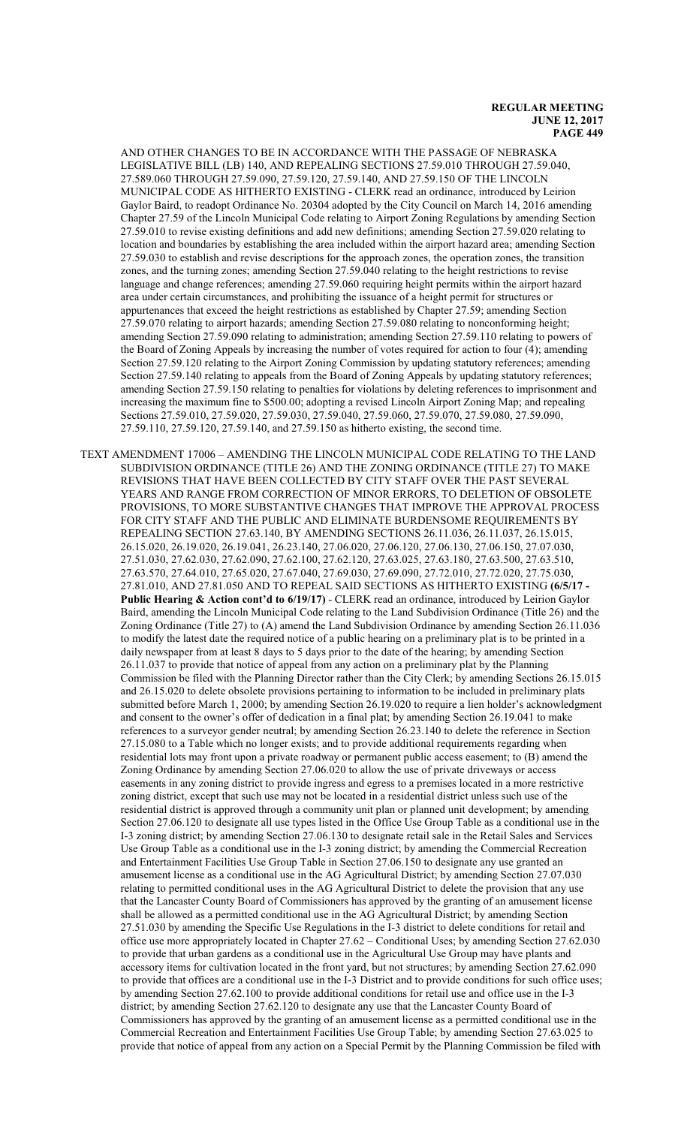AND OTHER CHANGES TO BE IN ACCORDANCE WITH THE PASSAGE OF NEBRASKA LEGISLATIVE BILL (LB) 140, AND REPEALING SECTIONS 27.59.010 THROUGH 27.59.040, 27.589.060 THROUGH 27.59.090, 27.59.120, 27.59.140, AND 27.59.150 OF THE LINCOLN MUNICIPAL CODE AS HITHERTO EXISTING - CLERK read an ordinance, introduced by Leirion Gaylor Baird, to readopt Ordinance No. 20304 adopted by the City Council on March 14, 2016 amending Chapter 27.59 of the Lincoln Municipal Code relating to Airport Zoning Regulations by amending Section 27.59.010 to revise existing definitions and add new definitions; amending Section 27.59.020 relating to location and boundaries by establishing the area included within the airport hazard area; amending Section 27.59.030 to establish and revise descriptions for the approach zones, the operation zones, the transition zones, and the turning zones; amending Section 27.59.040 relating to the height restrictions to revise language and change references; amending 27.59.060 requiring height permits within the airport hazard area under certain circumstances, and prohibiting the issuance of a height permit for structures or appurtenances that exceed the height restrictions as established by Chapter 27.59; amending Section 27.59.070 relating to airport hazards; amending Section 27.59.080 relating to nonconforming height; amending Section 27.59.090 relating to administration; amending Section 27.59.110 relating to powers of the Board of Zoning Appeals by increasing the number of votes required for action to four (4); amending Section 27.59.120 relating to the Airport Zoning Commission by updating statutory references; amending Section 27.59.140 relating to appeals from the Board of Zoning Appeals by updating statutory references; amending Section 27.59.150 relating to penalties for violations by deleting references to imprisonment and increasing the maximum fine to \$500.00; adopting a revised Lincoln Airport Zoning Map; and repealing Sections 27.59.010, 27.59.020, 27.59.030, 27.59.040, 27.59.060, 27.59.070, 27.59.080, 27.59.090, 27.59.110, 27.59.120, 27.59.140, and 27.59.150 as hitherto existing, the second time.

TEXT AMENDMENT 17006 – AMENDING THE LINCOLN MUNICIPAL CODE RELATING TO THE LAND SUBDIVISION ORDINANCE (TITLE 26) AND THE ZONING ORDINANCE (TITLE 27) TO MAKE REVISIONS THAT HAVE BEEN COLLECTED BY CITY STAFF OVER THE PAST SEVERAL YEARS AND RANGE FROM CORRECTION OF MINOR ERRORS, TO DELETION OF OBSOLETE PROVISIONS, TO MORE SUBSTANTIVE CHANGES THAT IMPROVE THE APPROVAL PROCESS FOR CITY STAFF AND THE PUBLIC AND ELIMINATE BURDENSOME REQUIREMENTS BY REPEALING SECTION 27.63.140, BY AMENDING SECTIONS 26.11.036, 26.11.037, 26.15.015, 26.15.020, 26.19.020, 26.19.041, 26.23.140, 27.06.020, 27.06.120, 27.06.130, 27.06.150, 27.07.030, 27.51.030, 27.62.030, 27.62.090, 27.62.100, 27.62.120, 27.63.025, 27.63.180, 27.63.500, 27.63.510, 27.63.570, 27.64.010, 27.65.020, 27.67.040, 27.69.030, 27.69.090, 27.72.010, 27.72.020, 27.75.030, 27.81.010, AND 27.81.050 AND TO REPEAL SAID SECTIONS AS HITHERTO EXISTING **(6/5/17 -** Public Hearing & Action cont'd to 6/19/17) - CLERK read an ordinance, introduced by Leirion Gaylor Baird, amending the Lincoln Municipal Code relating to the Land Subdivision Ordinance (Title 26) and the Zoning Ordinance (Title 27) to (A) amend the Land Subdivision Ordinance by amending Section 26.11.036 to modify the latest date the required notice of a public hearing on a preliminary plat is to be printed in a daily newspaper from at least 8 days to 5 days prior to the date of the hearing; by amending Section 26.11.037 to provide that notice of appeal from any action on a preliminary plat by the Planning Commission be filed with the Planning Director rather than the City Clerk; by amending Sections 26.15.015 and 26.15.020 to delete obsolete provisions pertaining to information to be included in preliminary plats submitted before March 1, 2000; by amending Section 26.19.020 to require a lien holder's acknowledgment and consent to the owner's offer of dedication in a final plat; by amending Section 26.19.041 to make references to a surveyor gender neutral; by amending Section 26.23.140 to delete the reference in Section 27.15.080 to a Table which no longer exists; and to provide additional requirements regarding when residential lots may front upon a private roadway or permanent public access easement; to (B) amend the Zoning Ordinance by amending Section 27.06.020 to allow the use of private driveways or access easements in any zoning district to provide ingress and egress to a premises located in a more restrictive zoning district, except that such use may not be located in a residential district unless such use of the residential district is approved through a community unit plan or planned unit development; by amending Section 27.06.120 to designate all use types listed in the Office Use Group Table as a conditional use in the I-3 zoning district; by amending Section 27.06.130 to designate retail sale in the Retail Sales and Services Use Group Table as a conditional use in the I-3 zoning district; by amending the Commercial Recreation and Entertainment Facilities Use Group Table in Section 27.06.150 to designate any use granted an amusement license as a conditional use in the AG Agricultural District; by amending Section 27.07.030 relating to permitted conditional uses in the AG Agricultural District to delete the provision that any use that the Lancaster County Board of Commissioners has approved by the granting of an amusement license shall be allowed as a permitted conditional use in the AG Agricultural District; by amending Section 27.51.030 by amending the Specific Use Regulations in the I-3 district to delete conditions for retail and office use more appropriately located in Chapter 27.62 – Conditional Uses; by amending Section 27.62.030 to provide that urban gardens as a conditional use in the Agricultural Use Group may have plants and accessory items for cultivation located in the front yard, but not structures; by amending Section 27.62.090 to provide that offices are a conditional use in the I-3 District and to provide conditions for such office uses; by amending Section 27.62.100 to provide additional conditions for retail use and office use in the I-3 district; by amending Section 27.62.120 to designate any use that the Lancaster County Board of Commissioners has approved by the granting of an amusement license as a permitted conditional use in the Commercial Recreation and Entertainment Facilities Use Group Table; by amending Section 27.63.025 to provide that notice of appeal from any action on a Special Permit by the Planning Commission be filed with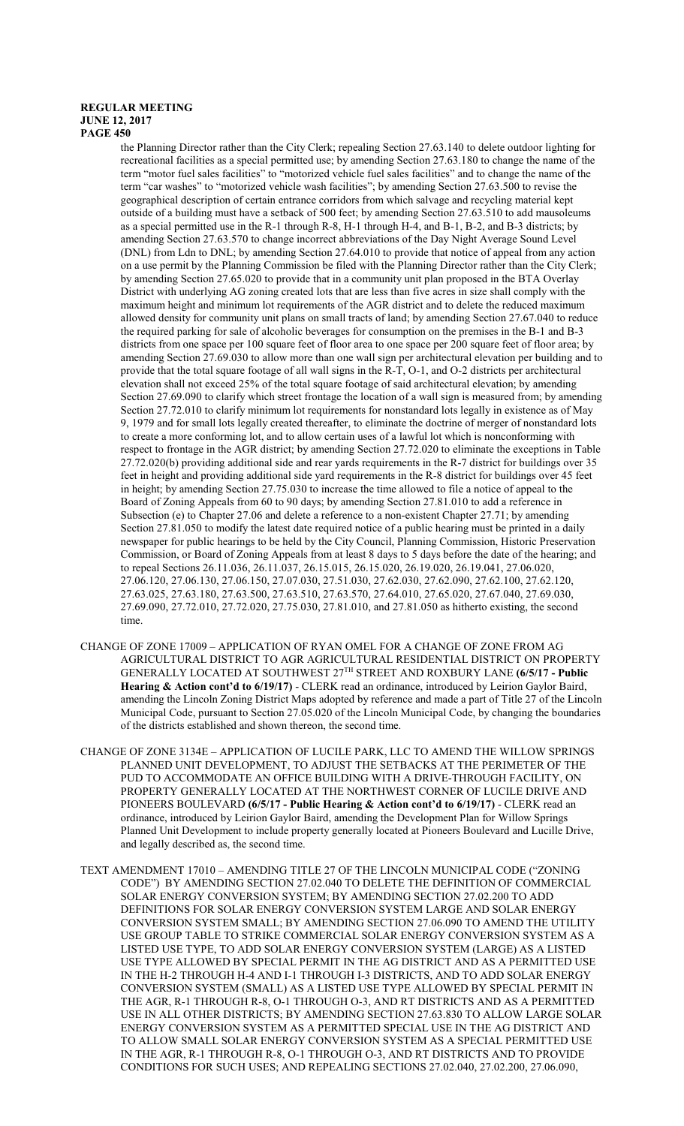the Planning Director rather than the City Clerk; repealing Section 27.63.140 to delete outdoor lighting for recreational facilities as a special permitted use; by amending Section 27.63.180 to change the name of the term "motor fuel sales facilities" to "motorized vehicle fuel sales facilities" and to change the name of the term "car washes" to "motorized vehicle wash facilities"; by amending Section 27.63.500 to revise the geographical description of certain entrance corridors from which salvage and recycling material kept outside of a building must have a setback of 500 feet; by amending Section 27.63.510 to add mausoleums as a special permitted use in the R-1 through R-8, H-1 through H-4, and B-1, B-2, and B-3 districts; by amending Section 27.63.570 to change incorrect abbreviations of the Day Night Average Sound Level (DNL) from Ldn to DNL; by amending Section 27.64.010 to provide that notice of appeal from any action on a use permit by the Planning Commission be filed with the Planning Director rather than the City Clerk; by amending Section 27.65.020 to provide that in a community unit plan proposed in the BTA Overlay District with underlying AG zoning created lots that are less than five acres in size shall comply with the maximum height and minimum lot requirements of the AGR district and to delete the reduced maximum allowed density for community unit plans on small tracts of land; by amending Section 27.67.040 to reduce the required parking for sale of alcoholic beverages for consumption on the premises in the B-1 and B-3 districts from one space per 100 square feet of floor area to one space per 200 square feet of floor area; by amending Section 27.69.030 to allow more than one wall sign per architectural elevation per building and to provide that the total square footage of all wall signs in the R-T, O-1, and O-2 districts per architectural elevation shall not exceed 25% of the total square footage of said architectural elevation; by amending Section 27.69.090 to clarify which street frontage the location of a wall sign is measured from; by amending Section 27.72.010 to clarify minimum lot requirements for nonstandard lots legally in existence as of May 9, 1979 and for small lots legally created thereafter, to eliminate the doctrine of merger of nonstandard lots to create a more conforming lot, and to allow certain uses of a lawful lot which is nonconforming with respect to frontage in the AGR district; by amending Section 27.72.020 to eliminate the exceptions in Table 27.72.020(b) providing additional side and rear yards requirements in the R-7 district for buildings over 35 feet in height and providing additional side yard requirements in the R-8 district for buildings over 45 feet in height; by amending Section 27.75.030 to increase the time allowed to file a notice of appeal to the Board of Zoning Appeals from 60 to 90 days; by amending Section 27.81.010 to add a reference in Subsection (e) to Chapter 27.06 and delete a reference to a non-existent Chapter 27.71; by amending Section 27.81.050 to modify the latest date required notice of a public hearing must be printed in a daily newspaper for public hearings to be held by the City Council, Planning Commission, Historic Preservation Commission, or Board of Zoning Appeals from at least 8 days to 5 days before the date of the hearing; and to repeal Sections 26.11.036, 26.11.037, 26.15.015, 26.15.020, 26.19.020, 26.19.041, 27.06.020, 27.06.120, 27.06.130, 27.06.150, 27.07.030, 27.51.030, 27.62.030, 27.62.090, 27.62.100, 27.62.120, 27.63.025, 27.63.180, 27.63.500, 27.63.510, 27.63.570, 27.64.010, 27.65.020, 27.67.040, 27.69.030, 27.69.090, 27.72.010, 27.72.020, 27.75.030, 27.81.010, and 27.81.050 as hitherto existing, the second time.

- CHANGE OF ZONE 17009 APPLICATION OF RYAN OMEL FOR A CHANGE OF ZONE FROM AG AGRICULTURAL DISTRICT TO AGR AGRICULTURAL RESIDENTIAL DISTRICT ON PROPERTY GENERALLY LOCATED AT SOUTHWEST 27 TH STREET AND ROXBURY LANE **(6/5/17 - Public Hearing & Action cont'd to 6/19/17)** - CLERK read an ordinance, introduced by Leirion Gaylor Baird, amending the Lincoln Zoning District Maps adopted by reference and made a part of Title 27 of the Lincoln Municipal Code, pursuant to Section 27.05.020 of the Lincoln Municipal Code, by changing the boundaries of the districts established and shown thereon, the second time.
- CHANGE OF ZONE 3134E APPLICATION OF LUCILE PARK, LLC TO AMEND THE WILLOW SPRINGS PLANNED UNIT DEVELOPMENT, TO ADJUST THE SETBACKS AT THE PERIMETER OF THE PUD TO ACCOMMODATE AN OFFICE BUILDING WITH A DRIVE-THROUGH FACILITY, ON PROPERTY GENERALLY LOCATED AT THE NORTHWEST CORNER OF LUCILE DRIVE AND PIONEERS BOULEVARD **(6/5/17 - Public Hearing & Action cont'd to 6/19/17)** - CLERK read an ordinance, introduced by Leirion Gaylor Baird, amending the Development Plan for Willow Springs Planned Unit Development to include property generally located at Pioneers Boulevard and Lucille Drive, and legally described as, the second time.
- TEXT AMENDMENT 17010 AMENDING TITLE 27 OF THE LINCOLN MUNICIPAL CODE ("ZONING CODE") BY AMENDING SECTION 27.02.040 TO DELETE THE DEFINITION OF COMMERCIAL SOLAR ENERGY CONVERSION SYSTEM; BY AMENDING SECTION 27.02.200 TO ADD DEFINITIONS FOR SOLAR ENERGY CONVERSION SYSTEM LARGE AND SOLAR ENERGY CONVERSION SYSTEM SMALL; BY AMENDING SECTION 27.06.090 TO AMEND THE UTILITY USE GROUP TABLE TO STRIKE COMMERCIAL SOLAR ENERGY CONVERSION SYSTEM AS A LISTED USE TYPE, TO ADD SOLAR ENERGY CONVERSION SYSTEM (LARGE) AS A LISTED USE TYPE ALLOWED BY SPECIAL PERMIT IN THE AG DISTRICT AND AS A PERMITTED USE IN THE H-2 THROUGH H-4 AND I-1 THROUGH I-3 DISTRICTS, AND TO ADD SOLAR ENERGY CONVERSION SYSTEM (SMALL) AS A LISTED USE TYPE ALLOWED BY SPECIAL PERMIT IN THE AGR, R-1 THROUGH R-8, O-1 THROUGH O-3, AND RT DISTRICTS AND AS A PERMITTED USE IN ALL OTHER DISTRICTS; BY AMENDING SECTION 27.63.830 TO ALLOW LARGE SOLAR ENERGY CONVERSION SYSTEM AS A PERMITTED SPECIAL USE IN THE AG DISTRICT AND TO ALLOW SMALL SOLAR ENERGY CONVERSION SYSTEM AS A SPECIAL PERMITTED USE IN THE AGR, R-1 THROUGH R-8, O-1 THROUGH O-3, AND RT DISTRICTS AND TO PROVIDE CONDITIONS FOR SUCH USES; AND REPEALING SECTIONS 27.02.040, 27.02.200, 27.06.090,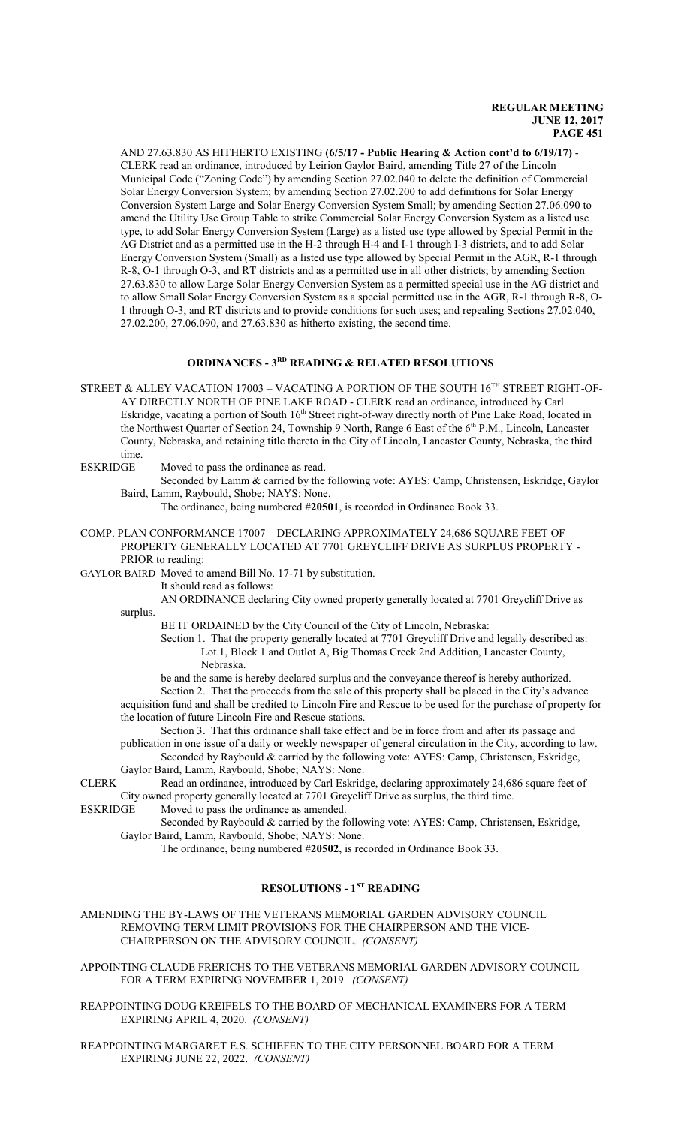AND 27.63.830 AS HITHERTO EXISTING **(6/5/17 - Public Hearing & Action cont'd to 6/19/17)** - CLERK read an ordinance, introduced by Leirion Gaylor Baird, amending Title 27 of the Lincoln Municipal Code ("Zoning Code") by amending Section 27.02.040 to delete the definition of Commercial Solar Energy Conversion System; by amending Section 27.02.200 to add definitions for Solar Energy Conversion System Large and Solar Energy Conversion System Small; by amending Section 27.06.090 to amend the Utility Use Group Table to strike Commercial Solar Energy Conversion System as a listed use type, to add Solar Energy Conversion System (Large) as a listed use type allowed by Special Permit in the AG District and as a permitted use in the H-2 through H-4 and I-1 through I-3 districts, and to add Solar Energy Conversion System (Small) as a listed use type allowed by Special Permit in the AGR, R-1 through R-8, O-1 through O-3, and RT districts and as a permitted use in all other districts; by amending Section 27.63.830 to allow Large Solar Energy Conversion System as a permitted special use in the AG district and to allow Small Solar Energy Conversion System as a special permitted use in the AGR, R-1 through R-8, O-1 through O-3, and RT districts and to provide conditions for such uses; and repealing Sections 27.02.040, 27.02.200, 27.06.090, and 27.63.830 as hitherto existing, the second time.

# **ORDINANCES - 3RD READING & RELATED RESOLUTIONS**

STREET & ALLEY VACATION 17003 – VACATING A PORTION OF THE SOUTH 16 $^{\text{TH}}$  STREET RIGHT-OF-AY DIRECTLY NORTH OF PINE LAKE ROAD - CLERK read an ordinance, introduced by Carl Eskridge, vacating a portion of South 16<sup>th</sup> Street right-of-way directly north of Pine Lake Road, located in the Northwest Quarter of Section 24, Township 9 North, Range 6 East of the 6<sup>th</sup> P.M., Lincoln, Lancaster County, Nebraska, and retaining title thereto in the City of Lincoln, Lancaster County, Nebraska, the third time.<br>ESKRIDGE

Moved to pass the ordinance as read.

Seconded by Lamm & carried by the following vote: AYES: Camp, Christensen, Eskridge, Gaylor Baird, Lamm, Raybould, Shobe; NAYS: None.

The ordinance, being numbered #**20501**, is recorded in Ordinance Book 33.

COMP. PLAN CONFORMANCE 17007 – DECLARING APPROXIMATELY 24,686 SQUARE FEET OF PROPERTY GENERALLY LOCATED AT 7701 GREYCLIFF DRIVE AS SURPLUS PROPERTY - PRIOR to reading:

GAYLOR BAIRD Moved to amend Bill No. 17-71 by substitution.

It should read as follows:

surplus.

AN ORDINANCE declaring City owned property generally located at 7701 Greycliff Drive as

BE IT ORDAINED by the City Council of the City of Lincoln, Nebraska:

Section 1. That the property generally located at 7701 Greycliff Drive and legally described as: Lot 1, Block 1 and Outlot A, Big Thomas Creek 2nd Addition, Lancaster County, Nebraska.

be and the same is hereby declared surplus and the conveyance thereof is hereby authorized. Section 2. That the proceeds from the sale of this property shall be placed in the City's advance acquisition fund and shall be credited to Lincoln Fire and Rescue to be used for the purchase of property for the location of future Lincoln Fire and Rescue stations.

Section 3. That this ordinance shall take effect and be in force from and after its passage and publication in one issue of a daily or weekly newspaper of general circulation in the City, according to law. Seconded by Raybould & carried by the following vote: AYES: Camp, Christensen, Eskridge,

Gaylor Baird, Lamm, Raybould, Shobe; NAYS: None.

CLERK Read an ordinance, introduced by Carl Eskridge, declaring approximately 24,686 square feet of City owned property generally located at 7701 Greycliff Drive as surplus, the third time.<br>ESKRIDGE Moved to pass the ordinance as amended.

Moved to pass the ordinance as amended.

Seconded by Raybould & carried by the following vote: AYES: Camp, Christensen, Eskridge, Gaylor Baird, Lamm, Raybould, Shobe; NAYS: None.

The ordinance, being numbered #**20502**, is recorded in Ordinance Book 33.

# **RESOLUTIONS - 1ST READING**

AMENDING THE BY-LAWS OF THE VETERANS MEMORIAL GARDEN ADVISORY COUNCIL REMOVING TERM LIMIT PROVISIONS FOR THE CHAIRPERSON AND THE VICE-CHAIRPERSON ON THE ADVISORY COUNCIL. *(CONSENT)*

APPOINTING CLAUDE FRERICHS TO THE VETERANS MEMORIAL GARDEN ADVISORY COUNCIL FOR A TERM EXPIRING NOVEMBER 1, 2019. *(CONSENT)*

REAPPOINTING DOUG KREIFELS TO THE BOARD OF MECHANICAL EXAMINERS FOR A TERM EXPIRING APRIL 4, 2020. *(CONSENT)*

#### REAPPOINTING MARGARET E.S. SCHIEFEN TO THE CITY PERSONNEL BOARD FOR A TERM EXPIRING JUNE 22, 2022. *(CONSENT)*